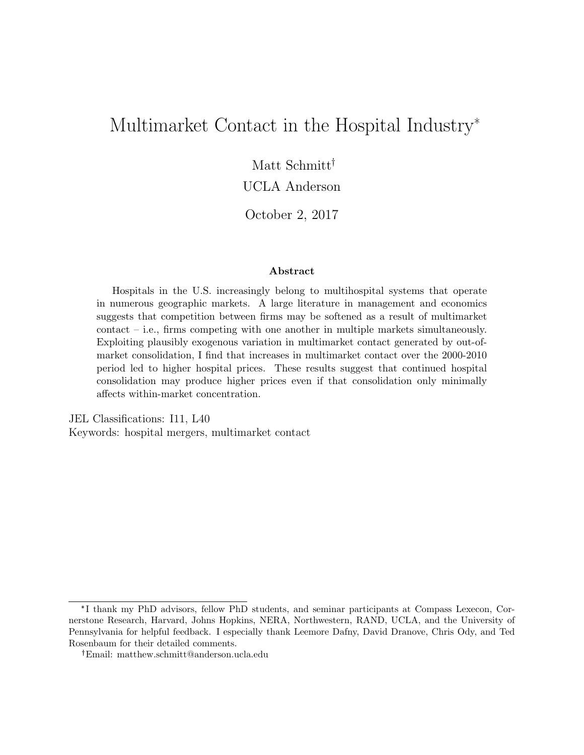## Multimarket Contact in the Hospital Industry\*

Matt Schmitt<sup>†</sup>

UCLA Anderson

October 2, 2017

#### Abstract

Hospitals in the U.S. increasingly belong to multihospital systems that operate in numerous geographic markets. A large literature in management and economics suggests that competition between firms may be softened as a result of multimarket contact – i.e., firms competing with one another in multiple markets simultaneously. Exploiting plausibly exogenous variation in multimarket contact generated by out-ofmarket consolidation, I find that increases in multimarket contact over the 2000-2010 period led to higher hospital prices. These results suggest that continued hospital consolidation may produce higher prices even if that consolidation only minimally affects within-market concentration.

JEL Classifications: I11, L40 Keywords: hospital mergers, multimarket contact

<sup>\*</sup> I thank my PhD advisors, fellow PhD students, and seminar participants at Compass Lexecon, Cornerstone Research, Harvard, Johns Hopkins, NERA, Northwestern, RAND, UCLA, and the University of Pennsylvania for helpful feedback. I especially thank Leemore Dafny, David Dranove, Chris Ody, and Ted Rosenbaum for their detailed comments.

Email: matthew.schmitt@anderson.ucla.edu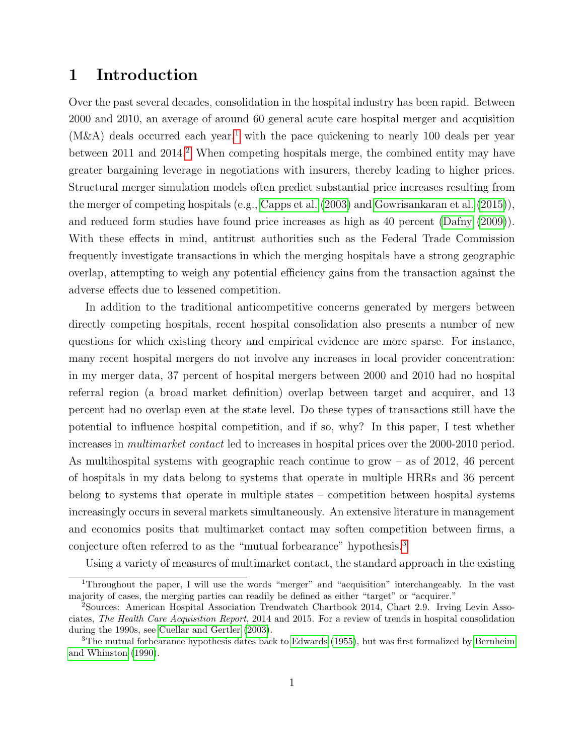## 1 Introduction

Over the past several decades, consolidation in the hospital industry has been rapid. Between 2000 and 2010, an average of around 60 general acute care hospital merger and acquisition (M&A) deals occurred each year,<sup>[1](#page-1-0)</sup> with the pace quickening to nearly 100 deals per year between [2](#page-1-1)011 and 2014.<sup>2</sup> When competing hospitals merge, the combined entity may have greater bargaining leverage in negotiations with insurers, thereby leading to higher prices. Structural merger simulation models often predict substantial price increases resulting from the merger of competing hospitals (e.g., [Capps et al.](#page-29-0) [\(2003\)](#page-29-0) and [Gowrisankaran et al.](#page-30-0) [\(2015\)](#page-30-0)), and reduced form studies have found price increases as high as 40 percent [\(Dafny](#page-29-1) [\(2009\)](#page-29-1)). With these effects in mind, antitrust authorities such as the Federal Trade Commission frequently investigate transactions in which the merging hospitals have a strong geographic overlap, attempting to weigh any potential efficiency gains from the transaction against the adverse effects due to lessened competition.

In addition to the traditional anticompetitive concerns generated by mergers between directly competing hospitals, recent hospital consolidation also presents a number of new questions for which existing theory and empirical evidence are more sparse. For instance, many recent hospital mergers do not involve any increases in local provider concentration: in my merger data, 37 percent of hospital mergers between 2000 and 2010 had no hospital referral region (a broad market definition) overlap between target and acquirer, and 13 percent had no overlap even at the state level. Do these types of transactions still have the potential to influence hospital competition, and if so, why? In this paper, I test whether increases in *multimarket contact* led to increases in hospital prices over the 2000-2010 period. As multihospital systems with geographic reach continue to grow – as of 2012, 46 percent of hospitals in my data belong to systems that operate in multiple HRRs and 36 percent belong to systems that operate in multiple states – competition between hospital systems increasingly occurs in several markets simultaneously. An extensive literature in management and economics posits that multimarket contact may soften competition between firms, a conjecture often referred to as the "mutual forbearance" hypothesis.[3](#page-1-2)

<span id="page-1-0"></span>Using a variety of measures of multimarket contact, the standard approach in the existing

<sup>1</sup>Throughout the paper, I will use the words "merger" and "acquisition" interchangeably. In the vast majority of cases, the merging parties can readily be defined as either "target" or "acquirer."

<span id="page-1-1"></span><sup>2</sup>Sources: American Hospital Association Trendwatch Chartbook 2014, Chart 2.9. Irving Levin Associates, The Health Care Acquisition Report, 2014 and 2015. For a review of trends in hospital consolidation during the 1990s, see [Cuellar and Gertler](#page-29-2) [\(2003\)](#page-29-2).

<span id="page-1-2"></span><sup>3</sup>The mutual forbearance hypothesis dates back to [Edwards](#page-29-3) [\(1955\)](#page-29-3), but was first formalized by [Bernheim](#page-29-4) [and Whinston](#page-29-4) [\(1990\)](#page-29-4).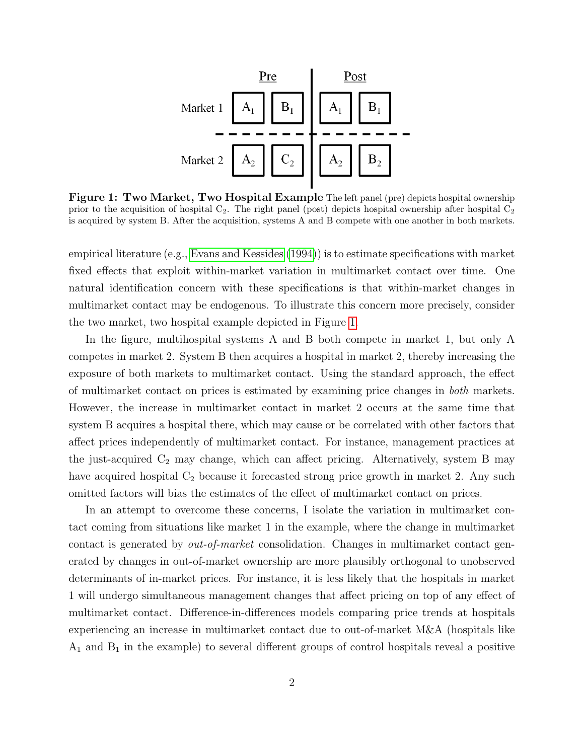<span id="page-2-0"></span>

Figure 1: Two Market, Two Hospital Example The left panel (pre) depicts hospital ownership prior to the acquisition of hospital  $C_2$ . The right panel (post) depicts hospital ownership after hospital  $C_2$ is acquired by system B. After the acquisition, systems A and B compete with one another in both markets.

empirical literature (e.g., [Evans and Kessides](#page-29-5) [\(1994\)](#page-29-5)) is to estimate specifications with market fixed effects that exploit within-market variation in multimarket contact over time. One natural identification concern with these specifications is that within-market changes in multimarket contact may be endogenous. To illustrate this concern more precisely, consider the two market, two hospital example depicted in Figure [1.](#page-2-0)

In the figure, multihospital systems A and B both compete in market 1, but only A competes in market 2. System B then acquires a hospital in market 2, thereby increasing the exposure of both markets to multimarket contact. Using the standard approach, the effect of multimarket contact on prices is estimated by examining price changes in both markets. However, the increase in multimarket contact in market 2 occurs at the same time that system B acquires a hospital there, which may cause or be correlated with other factors that affect prices independently of multimarket contact. For instance, management practices at the just-acquired  $C_2$  may change, which can affect pricing. Alternatively, system B may have acquired hospital  $C_2$  because it forecasted strong price growth in market 2. Any such omitted factors will bias the estimates of the effect of multimarket contact on prices.

In an attempt to overcome these concerns, I isolate the variation in multimarket contact coming from situations like market 1 in the example, where the change in multimarket contact is generated by *out-of-market* consolidation. Changes in multimarket contact generated by changes in out-of-market ownership are more plausibly orthogonal to unobserved determinants of in-market prices. For instance, it is less likely that the hospitals in market 1 will undergo simultaneous management changes that affect pricing on top of any effect of multimarket contact. Difference-in-differences models comparing price trends at hospitals experiencing an increase in multimarket contact due to out-of-market M&A (hospitals like  $A_1$  and  $B_1$  in the example) to several different groups of control hospitals reveal a positive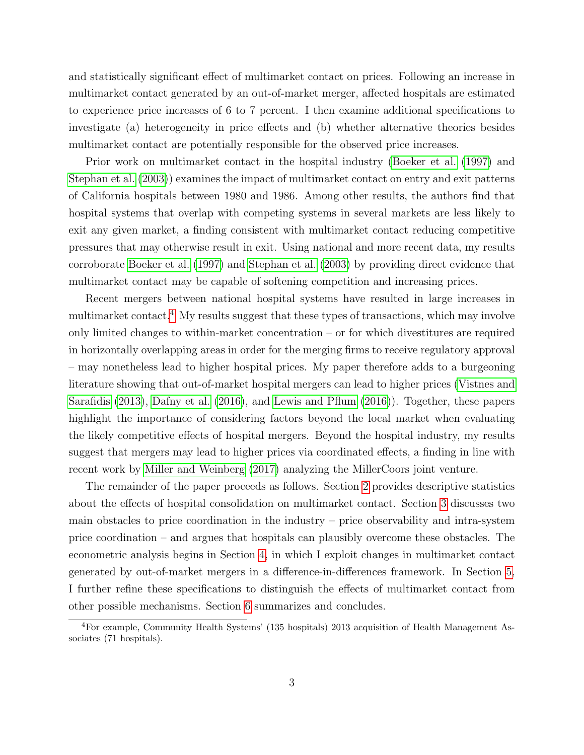and statistically significant effect of multimarket contact on prices. Following an increase in multimarket contact generated by an out-of-market merger, affected hospitals are estimated to experience price increases of 6 to 7 percent. I then examine additional specifications to investigate (a) heterogeneity in price effects and (b) whether alternative theories besides multimarket contact are potentially responsible for the observed price increases.

Prior work on multimarket contact in the hospital industry [\(Boeker et al.](#page-29-6) [\(1997\)](#page-29-6) and [Stephan et al.](#page-31-0) [\(2003\)](#page-31-0)) examines the impact of multimarket contact on entry and exit patterns of California hospitals between 1980 and 1986. Among other results, the authors find that hospital systems that overlap with competing systems in several markets are less likely to exit any given market, a finding consistent with multimarket contact reducing competitive pressures that may otherwise result in exit. Using national and more recent data, my results corroborate [Boeker et al.](#page-29-6) [\(1997\)](#page-29-6) and [Stephan et al.](#page-31-0) [\(2003\)](#page-31-0) by providing direct evidence that multimarket contact may be capable of softening competition and increasing prices.

Recent mergers between national hospital systems have resulted in large increases in multimarket contact.<sup>[4](#page-3-0)</sup> My results suggest that these types of transactions, which may involve only limited changes to within-market concentration – or for which divestitures are required in horizontally overlapping areas in order for the merging firms to receive regulatory approval – may nonetheless lead to higher hospital prices. My paper therefore adds to a burgeoning literature showing that out-of-market hospital mergers can lead to higher prices [\(Vistnes and](#page-31-1) [Sarafidis](#page-31-1) [\(2013\)](#page-31-1), [Dafny et al.](#page-29-7) [\(2016\)](#page-29-7), and [Lewis and Pflum](#page-30-1) [\(2016\)](#page-30-1)). Together, these papers highlight the importance of considering factors beyond the local market when evaluating the likely competitive effects of hospital mergers. Beyond the hospital industry, my results suggest that mergers may lead to higher prices via coordinated effects, a finding in line with recent work by [Miller and Weinberg](#page-30-2) [\(2017\)](#page-30-2) analyzing the MillerCoors joint venture.

The remainder of the paper proceeds as follows. Section [2](#page-4-0) provides descriptive statistics about the effects of hospital consolidation on multimarket contact. Section [3](#page-8-0) discusses two main obstacles to price coordination in the industry – price observability and intra-system price coordination – and argues that hospitals can plausibly overcome these obstacles. The econometric analysis begins in Section [4,](#page-10-0) in which I exploit changes in multimarket contact generated by out-of-market mergers in a difference-in-differences framework. In Section [5,](#page-23-0) I further refine these specifications to distinguish the effects of multimarket contact from other possible mechanisms. Section [6](#page-27-0) summarizes and concludes.

<span id="page-3-0"></span><sup>4</sup>For example, Community Health Systems' (135 hospitals) 2013 acquisition of Health Management Associates (71 hospitals).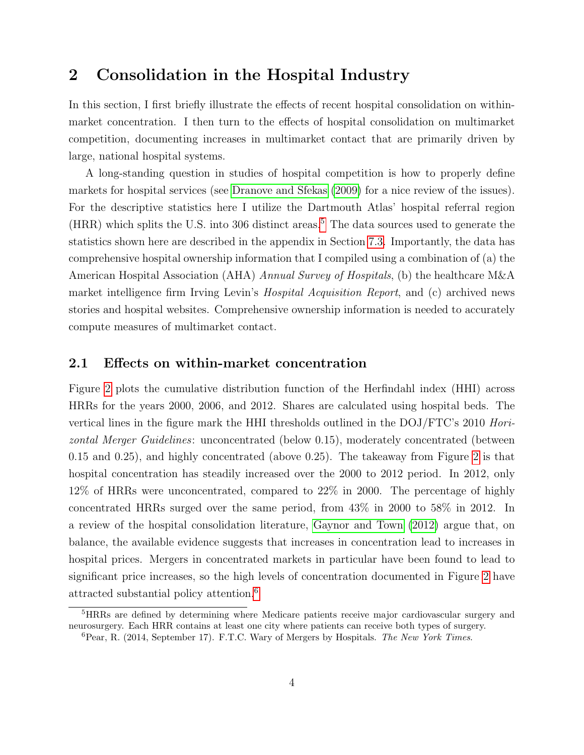## <span id="page-4-0"></span>2 Consolidation in the Hospital Industry

In this section, I first briefly illustrate the effects of recent hospital consolidation on withinmarket concentration. I then turn to the effects of hospital consolidation on multimarket competition, documenting increases in multimarket contact that are primarily driven by large, national hospital systems.

A long-standing question in studies of hospital competition is how to properly define markets for hospital services (see [Dranove and Sfekas](#page-29-8) [\(2009\)](#page-29-8) for a nice review of the issues). For the descriptive statistics here I utilize the Dartmouth Atlas' hospital referral region  $(HRR)$  which splits the U.S. into 306 distinct areas.<sup>[5](#page-4-1)</sup> The data sources used to generate the statistics shown here are described in the appendix in Section [7.3.](#page-37-0) Importantly, the data has comprehensive hospital ownership information that I compiled using a combination of (a) the American Hospital Association (AHA) *Annual Survey of Hospitals*, (b) the healthcare M&A market intelligence firm Irving Levin's Hospital Acquisition Report, and (c) archived news stories and hospital websites. Comprehensive ownership information is needed to accurately compute measures of multimarket contact.

### 2.1 Effects on within-market concentration

Figure [2](#page-5-0) plots the cumulative distribution function of the Herfindahl index (HHI) across HRRs for the years 2000, 2006, and 2012. Shares are calculated using hospital beds. The vertical lines in the figure mark the HHI thresholds outlined in the DOJ/FTC's 2010 Horizontal Merger Guidelines: unconcentrated (below 0.15), moderately concentrated (between 0.15 and 0.25), and highly concentrated (above 0.25). The takeaway from Figure [2](#page-5-0) is that hospital concentration has steadily increased over the 2000 to 2012 period. In 2012, only 12% of HRRs were unconcentrated, compared to 22% in 2000. The percentage of highly concentrated HRRs surged over the same period, from 43% in 2000 to 58% in 2012. In a review of the hospital consolidation literature, [Gaynor and Town](#page-30-3) [\(2012\)](#page-30-3) argue that, on balance, the available evidence suggests that increases in concentration lead to increases in hospital prices. Mergers in concentrated markets in particular have been found to lead to significant price increases, so the high levels of concentration documented in Figure [2](#page-5-0) have attracted substantial policy attention.[6](#page-4-2)

<span id="page-4-1"></span><sup>5</sup>HRRs are defined by determining where Medicare patients receive major cardiovascular surgery and neurosurgery. Each HRR contains at least one city where patients can receive both types of surgery.

<span id="page-4-2"></span> $6$ Pear, R. (2014, September 17). F.T.C. Wary of Mergers by Hospitals. The New York Times.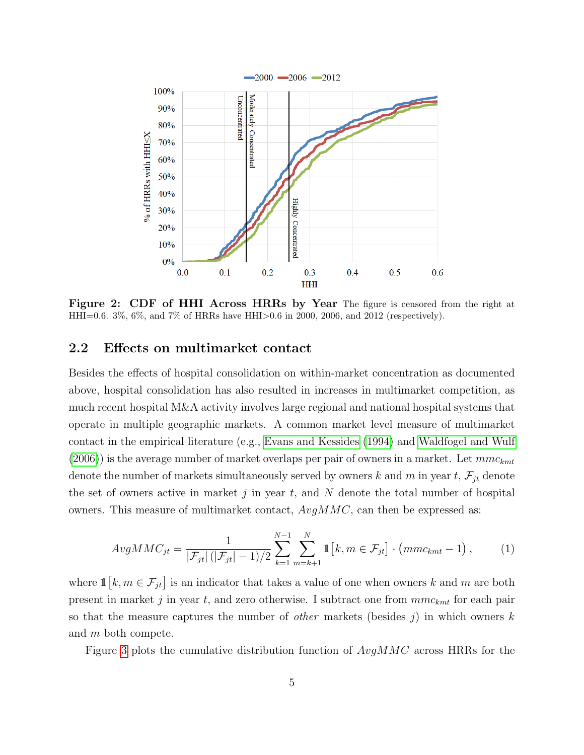<span id="page-5-0"></span>

Figure 2: CDF of HHI Across HRRs by Year The figure is censored from the right at HHI=0.6. 3%, 6%, and 7% of HRRs have HHI>0.6 in 2000, 2006, and 2012 (respectively).

#### <span id="page-5-1"></span>2.2 Effects on multimarket contact

Besides the effects of hospital consolidation on within-market concentration as documented above, hospital consolidation has also resulted in increases in multimarket competition, as much recent hospital M&A activity involves large regional and national hospital systems that operate in multiple geographic markets. A common market level measure of multimarket contact in the empirical literature (e.g., [Evans and Kessides](#page-29-5) [\(1994\)](#page-29-5) and [Waldfogel and Wulf](#page-31-2)  $(2006)$ ) is the average number of market overlaps per pair of owners in a market. Let  $mmc_{kmt}$ denote the number of markets simultaneously served by owners k and m in year t,  $\mathcal{F}_{it}$  denote the set of owners active in market  $j$  in year  $t$ , and  $N$  denote the total number of hospital owners. This measure of multimarket contact,  $AvgMMC$ , can then be expressed as:

$$
AvgMMC_{jt} = \frac{1}{|\mathcal{F}_{jt}|(|\mathcal{F}_{jt}| - 1)/2} \sum_{k=1}^{N-1} \sum_{m=k+1}^{N} \mathbb{1}[k, m \in \mathcal{F}_{jt}] \cdot (mmc_{kmt} - 1), \quad (1)
$$

where  $\mathbb{1}[k, m \in \mathcal{F}_{jt}]$  is an indicator that takes a value of one when owners k and m are both present in market j in year t, and zero otherwise. I subtract one from  $mmc_{kmt}$  for each pair so that the measure captures the number of *other* markets (besides  $i$ ) in which owners k and m both compete.

Figure [3](#page-6-0) plots the cumulative distribution function of AvgMMC across HRRs for the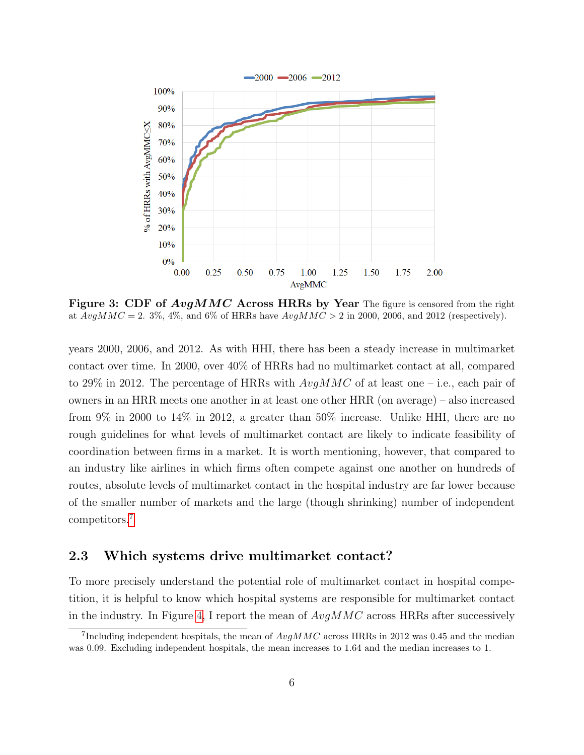<span id="page-6-0"></span>

Figure 3: CDF of  $AvgMMC$  Across HRRs by Year The figure is censored from the right at  $AvgMMC = 2.3\%, 4\%, \text{ and } 6\%$  of HRRs have  $AvgMMC > 2$  in 2000, 2006, and 2012 (respectively).

years 2000, 2006, and 2012. As with HHI, there has been a steady increase in multimarket contact over time. In 2000, over 40% of HRRs had no multimarket contact at all, compared to 29% in 2012. The percentage of HRRs with  $AvgMMC$  of at least one – i.e., each pair of owners in an HRR meets one another in at least one other HRR (on average) – also increased from 9% in 2000 to 14% in 2012, a greater than 50% increase. Unlike HHI, there are no rough guidelines for what levels of multimarket contact are likely to indicate feasibility of coordination between firms in a market. It is worth mentioning, however, that compared to an industry like airlines in which firms often compete against one another on hundreds of routes, absolute levels of multimarket contact in the hospital industry are far lower because of the smaller number of markets and the large (though shrinking) number of independent competitors.[7](#page-6-1)

### 2.3 Which systems drive multimarket contact?

To more precisely understand the potential role of multimarket contact in hospital competition, it is helpful to know which hospital systems are responsible for multimarket contact in the industry. In Figure [4,](#page-7-0) I report the mean of  $AvgMMC$  across HRRs after successively

<span id="page-6-1"></span><sup>&</sup>lt;sup>7</sup>Including independent hospitals, the mean of  $AvgMMC$  across HRRs in 2012 was 0.45 and the median was 0.09. Excluding independent hospitals, the mean increases to 1.64 and the median increases to 1.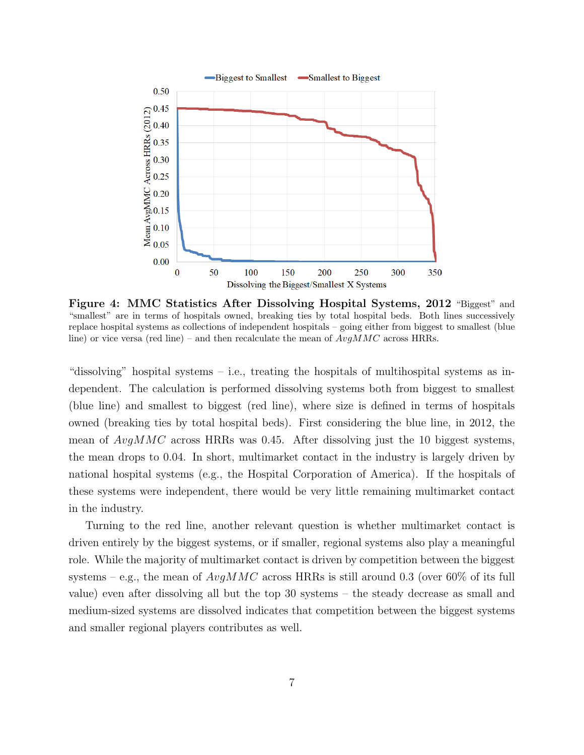<span id="page-7-0"></span>

Figure 4: MMC Statistics After Dissolving Hospital Systems, 2012 "Biggest" and "smallest" are in terms of hospitals owned, breaking ties by total hospital beds. Both lines successively replace hospital systems as collections of independent hospitals – going either from biggest to smallest (blue line) or vice versa (red line) – and then recalculate the mean of  $AvgMMC$  across HRRs.

"dissolving" hospital systems – i.e., treating the hospitals of multihospital systems as independent. The calculation is performed dissolving systems both from biggest to smallest (blue line) and smallest to biggest (red line), where size is defined in terms of hospitals owned (breaking ties by total hospital beds). First considering the blue line, in 2012, the mean of  $AvgMMC$  across HRRs was 0.45. After dissolving just the 10 biggest systems, the mean drops to 0.04. In short, multimarket contact in the industry is largely driven by national hospital systems (e.g., the Hospital Corporation of America). If the hospitals of these systems were independent, there would be very little remaining multimarket contact in the industry.

Turning to the red line, another relevant question is whether multimarket contact is driven entirely by the biggest systems, or if smaller, regional systems also play a meaningful role. While the majority of multimarket contact is driven by competition between the biggest systems – e.g., the mean of  $AvgMMC$  across HRRs is still around 0.3 (over 60% of its full value) even after dissolving all but the top 30 systems – the steady decrease as small and medium-sized systems are dissolved indicates that competition between the biggest systems and smaller regional players contributes as well.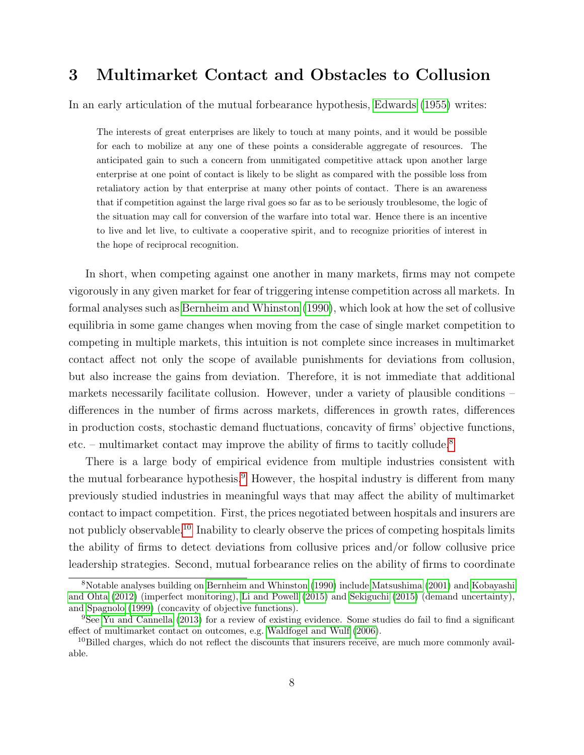## <span id="page-8-0"></span>3 Multimarket Contact and Obstacles to Collusion

In an early articulation of the mutual forbearance hypothesis, [Edwards](#page-29-3) [\(1955\)](#page-29-3) writes:

The interests of great enterprises are likely to touch at many points, and it would be possible for each to mobilize at any one of these points a considerable aggregate of resources. The anticipated gain to such a concern from unmitigated competitive attack upon another large enterprise at one point of contact is likely to be slight as compared with the possible loss from retaliatory action by that enterprise at many other points of contact. There is an awareness that if competition against the large rival goes so far as to be seriously troublesome, the logic of the situation may call for conversion of the warfare into total war. Hence there is an incentive to live and let live, to cultivate a cooperative spirit, and to recognize priorities of interest in the hope of reciprocal recognition.

In short, when competing against one another in many markets, firms may not compete vigorously in any given market for fear of triggering intense competition across all markets. In formal analyses such as [Bernheim and Whinston](#page-29-4) [\(1990\)](#page-29-4), which look at how the set of collusive equilibria in some game changes when moving from the case of single market competition to competing in multiple markets, this intuition is not complete since increases in multimarket contact affect not only the scope of available punishments for deviations from collusion, but also increase the gains from deviation. Therefore, it is not immediate that additional markets necessarily facilitate collusion. However, under a variety of plausible conditions – differences in the number of firms across markets, differences in growth rates, differences in production costs, stochastic demand fluctuations, concavity of firms' objective functions, etc. – multimarket contact may improve the ability of firms to tacitly collude.<sup>[8](#page-8-1)</sup>

There is a large body of empirical evidence from multiple industries consistent with the mutual forbearance hypothesis.<sup>[9](#page-8-2)</sup> However, the hospital industry is different from many previously studied industries in meaningful ways that may affect the ability of multimarket contact to impact competition. First, the prices negotiated between hospitals and insurers are not publicly observable.[10](#page-8-3) Inability to clearly observe the prices of competing hospitals limits the ability of firms to detect deviations from collusive prices and/or follow collusive price leadership strategies. Second, mutual forbearance relies on the ability of firms to coordinate

<span id="page-8-1"></span><sup>8</sup>Notable analyses building on [Bernheim and Whinston](#page-29-4) [\(1990\)](#page-29-4) include [Matsushima](#page-30-4) [\(2001\)](#page-30-4) and [Kobayashi](#page-30-5) [and Ohta](#page-30-5) [\(2012\)](#page-30-5) (imperfect monitoring), [Li and Powell](#page-30-6) [\(2015\)](#page-30-6) and [Sekiguchi](#page-30-7) [\(2015\)](#page-30-7) (demand uncertainty), and [Spagnolo](#page-31-3) [\(1999\)](#page-31-3) (concavity of objective functions).

<span id="page-8-2"></span><sup>9</sup>See [Yu and Cannella](#page-31-4) [\(2013\)](#page-31-4) for a review of existing evidence. Some studies do fail to find a significant effect of multimarket contact on outcomes, e.g. [Waldfogel and Wulf](#page-31-2) [\(2006\)](#page-31-2).

<span id="page-8-3"></span> $10B$ illed charges, which do not reflect the discounts that insurers receive, are much more commonly available.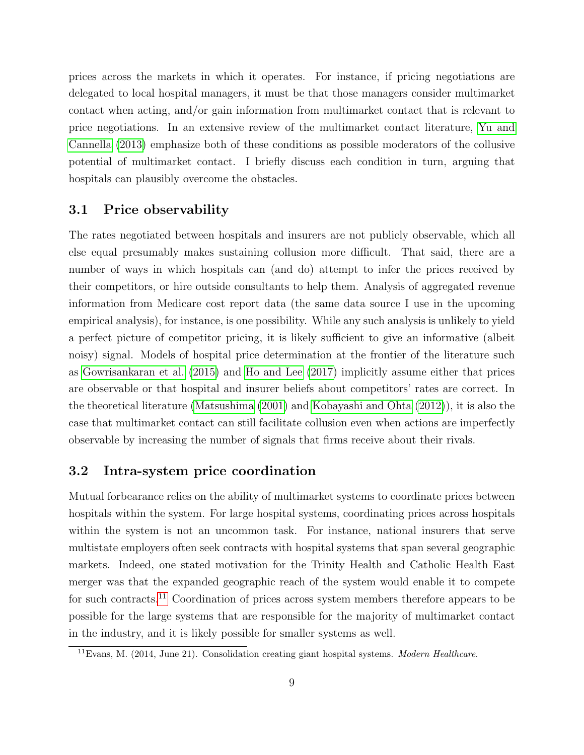prices across the markets in which it operates. For instance, if pricing negotiations are delegated to local hospital managers, it must be that those managers consider multimarket contact when acting, and/or gain information from multimarket contact that is relevant to price negotiations. In an extensive review of the multimarket contact literature, [Yu and](#page-31-4) [Cannella](#page-31-4) [\(2013\)](#page-31-4) emphasize both of these conditions as possible moderators of the collusive potential of multimarket contact. I briefly discuss each condition in turn, arguing that hospitals can plausibly overcome the obstacles.

### 3.1 Price observability

The rates negotiated between hospitals and insurers are not publicly observable, which all else equal presumably makes sustaining collusion more difficult. That said, there are a number of ways in which hospitals can (and do) attempt to infer the prices received by their competitors, or hire outside consultants to help them. Analysis of aggregated revenue information from Medicare cost report data (the same data source I use in the upcoming empirical analysis), for instance, is one possibility. While any such analysis is unlikely to yield a perfect picture of competitor pricing, it is likely sufficient to give an informative (albeit noisy) signal. Models of hospital price determination at the frontier of the literature such as [Gowrisankaran et al.](#page-30-0) [\(2015\)](#page-30-0) and [Ho and Lee](#page-30-8) [\(2017\)](#page-30-8) implicitly assume either that prices are observable or that hospital and insurer beliefs about competitors' rates are correct. In the theoretical literature [\(Matsushima](#page-30-4) [\(2001\)](#page-30-4) and [Kobayashi and Ohta](#page-30-5) [\(2012\)](#page-30-5)), it is also the case that multimarket contact can still facilitate collusion even when actions are imperfectly observable by increasing the number of signals that firms receive about their rivals.

### 3.2 Intra-system price coordination

Mutual forbearance relies on the ability of multimarket systems to coordinate prices between hospitals within the system. For large hospital systems, coordinating prices across hospitals within the system is not an uncommon task. For instance, national insurers that serve multistate employers often seek contracts with hospital systems that span several geographic markets. Indeed, one stated motivation for the Trinity Health and Catholic Health East merger was that the expanded geographic reach of the system would enable it to compete for such contracts.<sup>[11](#page-9-0)</sup> Coordination of prices across system members therefore appears to be possible for the large systems that are responsible for the majority of multimarket contact in the industry, and it is likely possible for smaller systems as well.

<span id="page-9-0"></span> $11$ Evans, M. (2014, June 21). Consolidation creating giant hospital systems. Modern Healthcare.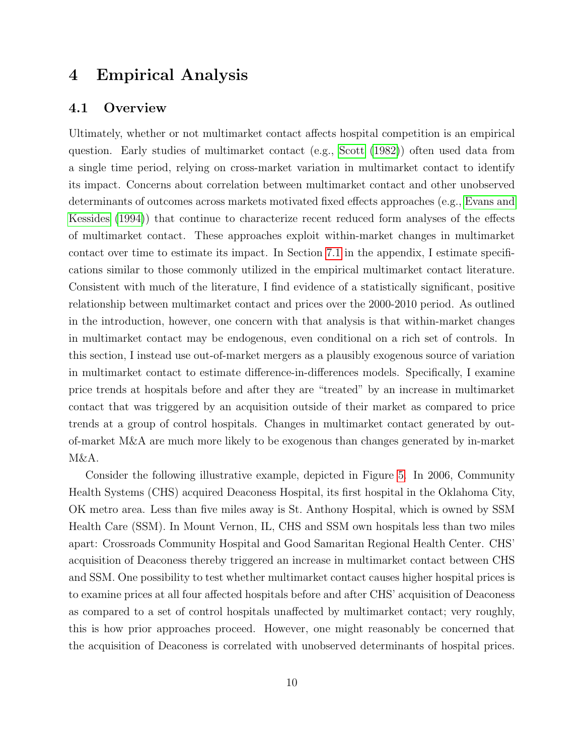## <span id="page-10-0"></span>4 Empirical Analysis

#### 4.1 Overview

Ultimately, whether or not multimarket contact affects hospital competition is an empirical question. Early studies of multimarket contact (e.g., [Scott](#page-30-9) [\(1982\)](#page-30-9)) often used data from a single time period, relying on cross-market variation in multimarket contact to identify its impact. Concerns about correlation between multimarket contact and other unobserved determinants of outcomes across markets motivated fixed effects approaches (e.g., [Evans and](#page-29-5) [Kessides](#page-29-5) [\(1994\)](#page-29-5)) that continue to characterize recent reduced form analyses of the effects of multimarket contact. These approaches exploit within-market changes in multimarket contact over time to estimate its impact. In Section [7.1](#page-32-0) in the appendix, I estimate specifications similar to those commonly utilized in the empirical multimarket contact literature. Consistent with much of the literature, I find evidence of a statistically significant, positive relationship between multimarket contact and prices over the 2000-2010 period. As outlined in the introduction, however, one concern with that analysis is that within-market changes in multimarket contact may be endogenous, even conditional on a rich set of controls. In this section, I instead use out-of-market mergers as a plausibly exogenous source of variation in multimarket contact to estimate difference-in-differences models. Specifically, I examine price trends at hospitals before and after they are "treated" by an increase in multimarket contact that was triggered by an acquisition outside of their market as compared to price trends at a group of control hospitals. Changes in multimarket contact generated by outof-market M&A are much more likely to be exogenous than changes generated by in-market M&A.

Consider the following illustrative example, depicted in Figure [5.](#page-11-0) In 2006, Community Health Systems (CHS) acquired Deaconess Hospital, its first hospital in the Oklahoma City, OK metro area. Less than five miles away is St. Anthony Hospital, which is owned by SSM Health Care (SSM). In Mount Vernon, IL, CHS and SSM own hospitals less than two miles apart: Crossroads Community Hospital and Good Samaritan Regional Health Center. CHS' acquisition of Deaconess thereby triggered an increase in multimarket contact between CHS and SSM. One possibility to test whether multimarket contact causes higher hospital prices is to examine prices at all four affected hospitals before and after CHS' acquisition of Deaconess as compared to a set of control hospitals unaffected by multimarket contact; very roughly, this is how prior approaches proceed. However, one might reasonably be concerned that the acquisition of Deaconess is correlated with unobserved determinants of hospital prices.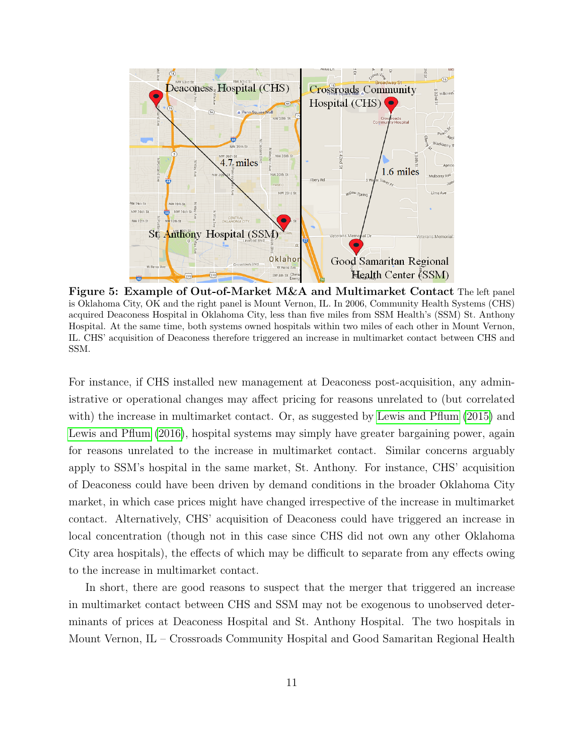<span id="page-11-0"></span>

Figure 5: Example of Out-of-Market M&A and Multimarket Contact The left panel is Oklahoma City, OK and the right panel is Mount Vernon, IL. In 2006, Community Health Systems (CHS) acquired Deaconess Hospital in Oklahoma City, less than five miles from SSM Health's (SSM) St. Anthony Hospital. At the same time, both systems owned hospitals within two miles of each other in Mount Vernon, IL. CHS' acquisition of Deaconess therefore triggered an increase in multimarket contact between CHS and SSM.

For instance, if CHS installed new management at Deaconess post-acquisition, any administrative or operational changes may affect pricing for reasons unrelated to (but correlated with) the increase in multimarket contact. Or, as suggested by [Lewis and Pflum](#page-30-10) [\(2015\)](#page-30-10) and [Lewis and Pflum](#page-30-1) [\(2016\)](#page-30-1), hospital systems may simply have greater bargaining power, again for reasons unrelated to the increase in multimarket contact. Similar concerns arguably apply to SSM's hospital in the same market, St. Anthony. For instance, CHS' acquisition of Deaconess could have been driven by demand conditions in the broader Oklahoma City market, in which case prices might have changed irrespective of the increase in multimarket contact. Alternatively, CHS' acquisition of Deaconess could have triggered an increase in local concentration (though not in this case since CHS did not own any other Oklahoma City area hospitals), the effects of which may be difficult to separate from any effects owing to the increase in multimarket contact.

In short, there are good reasons to suspect that the merger that triggered an increase in multimarket contact between CHS and SSM may not be exogenous to unobserved determinants of prices at Deaconess Hospital and St. Anthony Hospital. The two hospitals in Mount Vernon, IL – Crossroads Community Hospital and Good Samaritan Regional Health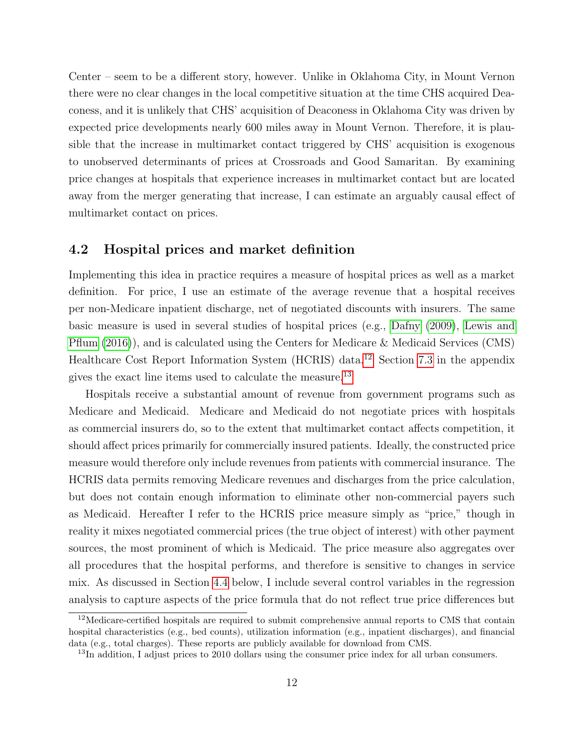Center – seem to be a different story, however. Unlike in Oklahoma City, in Mount Vernon there were no clear changes in the local competitive situation at the time CHS acquired Deaconess, and it is unlikely that CHS' acquisition of Deaconess in Oklahoma City was driven by expected price developments nearly 600 miles away in Mount Vernon. Therefore, it is plausible that the increase in multimarket contact triggered by CHS' acquisition is exogenous to unobserved determinants of prices at Crossroads and Good Samaritan. By examining price changes at hospitals that experience increases in multimarket contact but are located away from the merger generating that increase, I can estimate an arguably causal effect of multimarket contact on prices.

### 4.2 Hospital prices and market definition

Implementing this idea in practice requires a measure of hospital prices as well as a market definition. For price, I use an estimate of the average revenue that a hospital receives per non-Medicare inpatient discharge, net of negotiated discounts with insurers. The same basic measure is used in several studies of hospital prices (e.g., [Dafny](#page-29-1) [\(2009\)](#page-29-1), [Lewis and](#page-30-1) [Pflum](#page-30-1) [\(2016\)](#page-30-1)), and is calculated using the Centers for Medicare & Medicaid Services (CMS) Healthcare Cost Report Information System (HCRIS) data.[12](#page-12-0) Section [7.3](#page-37-0) in the appendix gives the exact line items used to calculate the measure.[13](#page-12-1)

Hospitals receive a substantial amount of revenue from government programs such as Medicare and Medicaid. Medicare and Medicaid do not negotiate prices with hospitals as commercial insurers do, so to the extent that multimarket contact affects competition, it should affect prices primarily for commercially insured patients. Ideally, the constructed price measure would therefore only include revenues from patients with commercial insurance. The HCRIS data permits removing Medicare revenues and discharges from the price calculation, but does not contain enough information to eliminate other non-commercial payers such as Medicaid. Hereafter I refer to the HCRIS price measure simply as "price," though in reality it mixes negotiated commercial prices (the true object of interest) with other payment sources, the most prominent of which is Medicaid. The price measure also aggregates over all procedures that the hospital performs, and therefore is sensitive to changes in service mix. As discussed in Section [4.4](#page-14-0) below, I include several control variables in the regression analysis to capture aspects of the price formula that do not reflect true price differences but

<span id="page-12-0"></span><sup>&</sup>lt;sup>12</sup>Medicare-certified hospitals are required to submit comprehensive annual reports to CMS that contain hospital characteristics (e.g., bed counts), utilization information (e.g., inpatient discharges), and financial data (e.g., total charges). These reports are publicly available for download from CMS.

<span id="page-12-1"></span><sup>&</sup>lt;sup>13</sup>In addition, I adjust prices to 2010 dollars using the consumer price index for all urban consumers.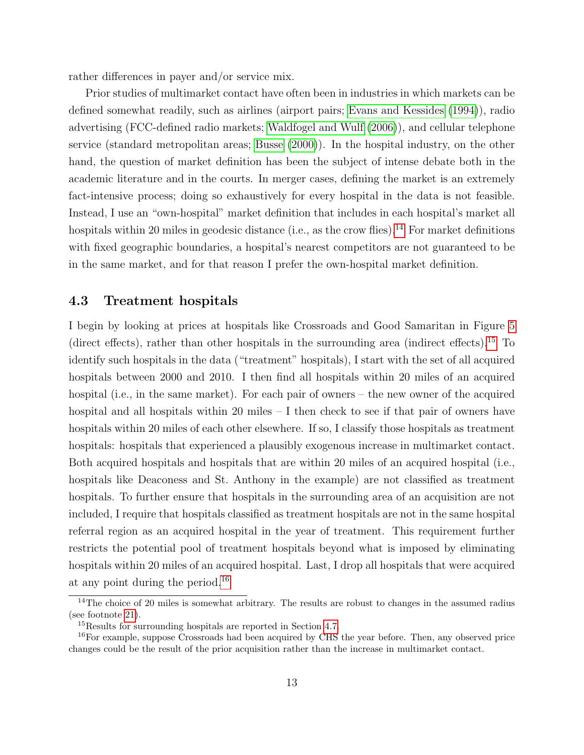rather differences in payer and/or service mix.

Prior studies of multimarket contact have often been in industries in which markets can be defined somewhat readily, such as airlines (airport pairs; [Evans and Kessides](#page-29-5) [\(1994\)](#page-29-5)), radio advertising (FCC-defined radio markets; [Waldfogel and Wulf](#page-31-2) [\(2006\)](#page-31-2)), and cellular telephone service (standard metropolitan areas; [Busse](#page-29-9) [\(2000\)](#page-29-9)). In the hospital industry, on the other hand, the question of market definition has been the subject of intense debate both in the academic literature and in the courts. In merger cases, defining the market is an extremely fact-intensive process; doing so exhaustively for every hospital in the data is not feasible. Instead, I use an "own-hospital" market definition that includes in each hospital's market all hospitals within 20 miles in geodesic distance (i.e., as the crow flies).<sup>[14](#page-13-0)</sup> For market definitions with fixed geographic boundaries, a hospital's nearest competitors are not guaranteed to be in the same market, and for that reason I prefer the own-hospital market definition.

### 4.3 Treatment hospitals

I begin by looking at prices at hospitals like Crossroads and Good Samaritan in Figure [5](#page-11-0) (direct effects), rather than other hospitals in the surrounding area (indirect effects).<sup>[15](#page-13-1)</sup> To identify such hospitals in the data ("treatment" hospitals), I start with the set of all acquired hospitals between 2000 and 2010. I then find all hospitals within 20 miles of an acquired hospital (i.e., in the same market). For each pair of owners – the new owner of the acquired hospital and all hospitals within 20 miles  $-$  I then check to see if that pair of owners have hospitals within 20 miles of each other elsewhere. If so, I classify those hospitals as treatment hospitals: hospitals that experienced a plausibly exogenous increase in multimarket contact. Both acquired hospitals and hospitals that are within 20 miles of an acquired hospital (i.e., hospitals like Deaconess and St. Anthony in the example) are not classified as treatment hospitals. To further ensure that hospitals in the surrounding area of an acquisition are not included, I require that hospitals classified as treatment hospitals are not in the same hospital referral region as an acquired hospital in the year of treatment. This requirement further restricts the potential pool of treatment hospitals beyond what is imposed by eliminating hospitals within 20 miles of an acquired hospital. Last, I drop all hospitals that were acquired at any point during the period.[16](#page-13-2)

<span id="page-13-0"></span><sup>&</sup>lt;sup>14</sup>The choice of 20 miles is somewhat arbitrary. The results are robust to changes in the assumed radius (see footnote [21\)](#page-19-0).

<span id="page-13-2"></span><span id="page-13-1"></span><sup>15</sup>Results for surrounding hospitals are reported in Section [4.7.](#page-20-0)

<sup>&</sup>lt;sup>16</sup>For example, suppose Crossroads had been acquired by CHS the year before. Then, any observed price changes could be the result of the prior acquisition rather than the increase in multimarket contact.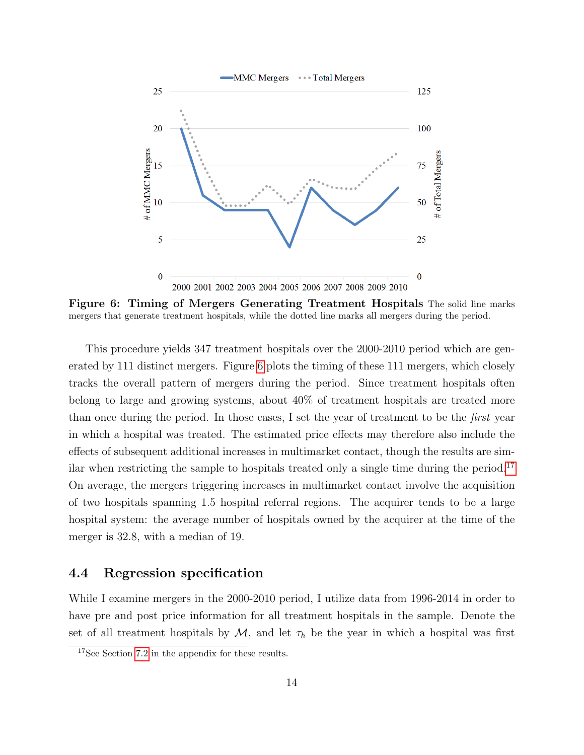<span id="page-14-1"></span>

Figure 6: Timing of Mergers Generating Treatment Hospitals The solid line marks mergers that generate treatment hospitals, while the dotted line marks all mergers during the period.

This procedure yields 347 treatment hospitals over the 2000-2010 period which are generated by 111 distinct mergers. Figure [6](#page-14-1) plots the timing of these 111 mergers, which closely tracks the overall pattern of mergers during the period. Since treatment hospitals often belong to large and growing systems, about 40% of treatment hospitals are treated more than once during the period. In those cases, I set the year of treatment to be the first year in which a hospital was treated. The estimated price effects may therefore also include the effects of subsequent additional increases in multimarket contact, though the results are sim-ilar when restricting the sample to hospitals treated only a single time during the period.<sup>[17](#page-14-2)</sup> On average, the mergers triggering increases in multimarket contact involve the acquisition of two hospitals spanning 1.5 hospital referral regions. The acquirer tends to be a large hospital system: the average number of hospitals owned by the acquirer at the time of the merger is 32.8, with a median of 19.

### <span id="page-14-0"></span>4.4 Regression specification

While I examine mergers in the 2000-2010 period, I utilize data from 1996-2014 in order to have pre and post price information for all treatment hospitals in the sample. Denote the set of all treatment hospitals by  $\mathcal{M}$ , and let  $\tau_h$  be the year in which a hospital was first

<span id="page-14-2"></span><sup>17</sup>See Section [7.2](#page-36-0) in the appendix for these results.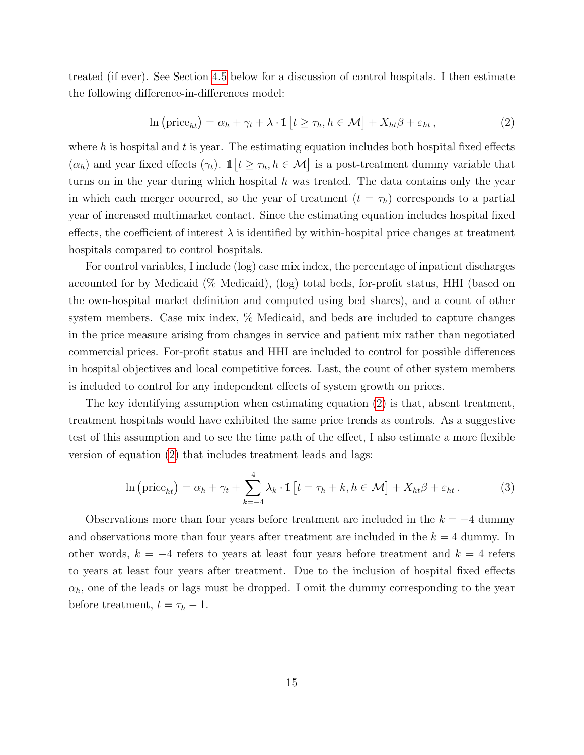treated (if ever). See Section [4.5](#page-16-0) below for a discussion of control hospitals. I then estimate the following difference-in-differences model:

<span id="page-15-0"></span>
$$
\ln(\text{price}_{ht}) = \alpha_h + \gamma_t + \lambda \cdot \mathbb{1}[t \ge \tau_h, h \in \mathcal{M}] + X_{ht}\beta + \varepsilon_{ht},\tag{2}
$$

where h is hospital and t is year. The estimating equation includes both hospital fixed effects  $(\alpha_h)$  and year fixed effects  $(\gamma_t)$ .  $\mathbb{1}[t \geq \tau_h, h \in \mathcal{M}]$  is a post-treatment dummy variable that turns on in the year during which hospital h was treated. The data contains only the year in which each merger occurred, so the year of treatment  $(t = \tau_h)$  corresponds to a partial year of increased multimarket contact. Since the estimating equation includes hospital fixed effects, the coefficient of interest  $\lambda$  is identified by within-hospital price changes at treatment hospitals compared to control hospitals.

For control variables, I include (log) case mix index, the percentage of inpatient discharges accounted for by Medicaid (% Medicaid), (log) total beds, for-profit status, HHI (based on the own-hospital market definition and computed using bed shares), and a count of other system members. Case mix index, % Medicaid, and beds are included to capture changes in the price measure arising from changes in service and patient mix rather than negotiated commercial prices. For-profit status and HHI are included to control for possible differences in hospital objectives and local competitive forces. Last, the count of other system members is included to control for any independent effects of system growth on prices.

The key identifying assumption when estimating equation [\(2\)](#page-15-0) is that, absent treatment, treatment hospitals would have exhibited the same price trends as controls. As a suggestive test of this assumption and to see the time path of the effect, I also estimate a more flexible version of equation [\(2\)](#page-15-0) that includes treatment leads and lags:

<span id="page-15-1"></span>
$$
\ln\left(\text{price}_{ht}\right) = \alpha_h + \gamma_t + \sum_{k=-4}^{4} \lambda_k \cdot \mathbb{1}\left[t = \tau_h + k, h \in \mathcal{M}\right] + X_{ht}\beta + \varepsilon_{ht}.
$$
 (3)

Observations more than four years before treatment are included in the  $k = -4$  dummy and observations more than four years after treatment are included in the  $k = 4$  dummy. In other words,  $k = -4$  refers to years at least four years before treatment and  $k = 4$  refers to years at least four years after treatment. Due to the inclusion of hospital fixed effects  $\alpha_h$ , one of the leads or lags must be dropped. I omit the dummy corresponding to the year before treatment,  $t = \tau_h - 1$ .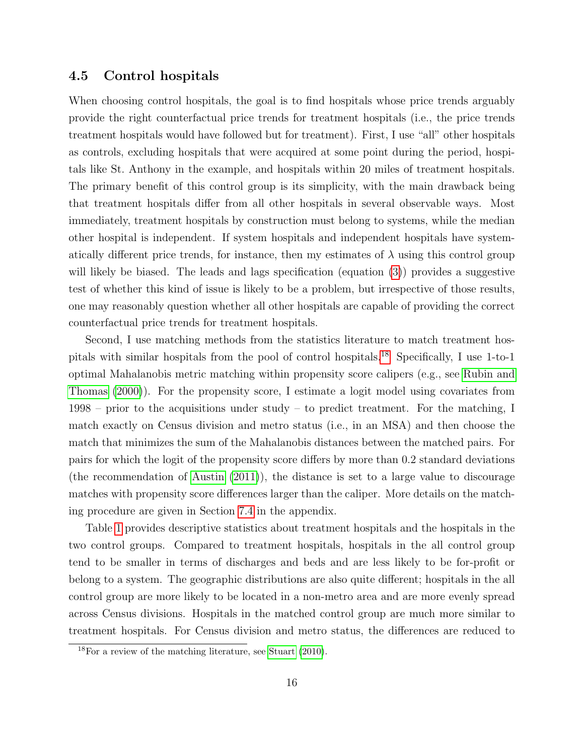### <span id="page-16-0"></span>4.5 Control hospitals

When choosing control hospitals, the goal is to find hospitals whose price trends arguably provide the right counterfactual price trends for treatment hospitals (i.e., the price trends treatment hospitals would have followed but for treatment). First, I use "all" other hospitals as controls, excluding hospitals that were acquired at some point during the period, hospitals like St. Anthony in the example, and hospitals within 20 miles of treatment hospitals. The primary benefit of this control group is its simplicity, with the main drawback being that treatment hospitals differ from all other hospitals in several observable ways. Most immediately, treatment hospitals by construction must belong to systems, while the median other hospital is independent. If system hospitals and independent hospitals have systematically different price trends, for instance, then my estimates of  $\lambda$  using this control group will likely be biased. The leads and lags specification (equation [\(3\)](#page-15-1)) provides a suggestive test of whether this kind of issue is likely to be a problem, but irrespective of those results, one may reasonably question whether all other hospitals are capable of providing the correct counterfactual price trends for treatment hospitals.

Second, I use matching methods from the statistics literature to match treatment hospitals with similar hospitals from the pool of control hospitals.[18](#page-16-1) Specifically, I use 1-to-1 optimal Mahalanobis metric matching within propensity score calipers (e.g., see [Rubin and](#page-30-11) [Thomas](#page-30-11) [\(2000\)](#page-30-11)). For the propensity score, I estimate a logit model using covariates from 1998 – prior to the acquisitions under study – to predict treatment. For the matching, I match exactly on Census division and metro status (i.e., in an MSA) and then choose the match that minimizes the sum of the Mahalanobis distances between the matched pairs. For pairs for which the logit of the propensity score differs by more than 0.2 standard deviations (the recommendation of [Austin](#page-29-10) [\(2011\)](#page-29-10)), the distance is set to a large value to discourage matches with propensity score differences larger than the caliper. More details on the matching procedure are given in Section [7.4](#page-39-0) in the appendix.

Table [1](#page-17-0) provides descriptive statistics about treatment hospitals and the hospitals in the two control groups. Compared to treatment hospitals, hospitals in the all control group tend to be smaller in terms of discharges and beds and are less likely to be for-profit or belong to a system. The geographic distributions are also quite different; hospitals in the all control group are more likely to be located in a non-metro area and are more evenly spread across Census divisions. Hospitals in the matched control group are much more similar to treatment hospitals. For Census division and metro status, the differences are reduced to

<span id="page-16-1"></span><sup>18</sup>For a review of the matching literature, see [Stuart](#page-31-5) [\(2010\)](#page-31-5).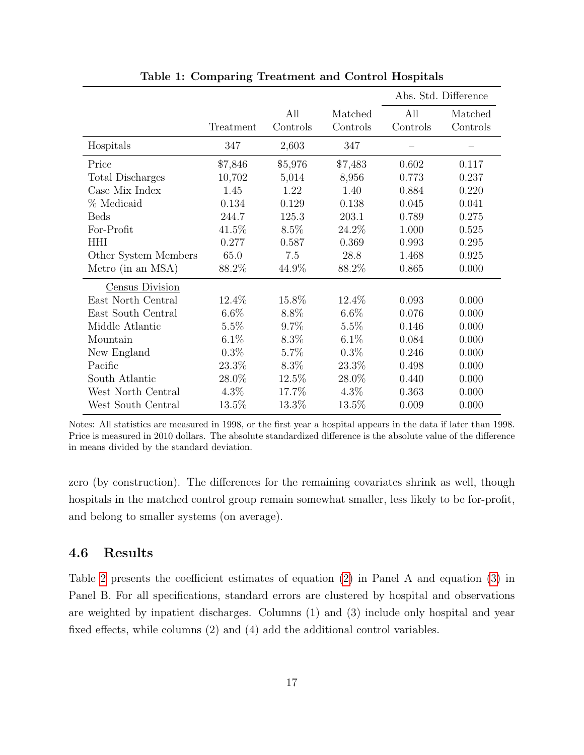<span id="page-17-0"></span>

|                      |           |          |          | Abs. Std. Difference |          |
|----------------------|-----------|----------|----------|----------------------|----------|
|                      |           | All      | Matched  | All                  | Matched  |
|                      | Treatment | Controls | Controls | Controls             | Controls |
| Hospitals            | 347       | 2,603    | 347      |                      |          |
| Price                | \$7,846   | \$5,976  | \$7,483  | 0.602                | 0.117    |
| Total Discharges     | 10,702    | 5,014    | 8,956    | 0.773                | 0.237    |
| Case Mix Index       | 1.45      | 1.22     | 1.40     | 0.884                | 0.220    |
| % Medicaid           | 0.134     | 0.129    | 0.138    | 0.045                | 0.041    |
| <b>Beds</b>          | 244.7     | 125.3    | 203.1    | 0.789                | 0.275    |
| For-Profit           | 41.5%     | $8.5\%$  | 24.2\%   | 1.000                | 0.525    |
| HHI                  | 0.277     | 0.587    | 0.369    | 0.993                | 0.295    |
| Other System Members | 65.0      | 7.5      | 28.8     | 1.468                | 0.925    |
| Metro (in an MSA)    | 88.2\%    | 44.9%    | 88.2%    | 0.865                | 0.000    |
| Census Division      |           |          |          |                      |          |
| East North Central   | 12.4\%    | 15.8%    | 12.4%    | 0.093                | 0.000    |
| East South Central   | $6.6\%$   | 8.8%     | $6.6\%$  | 0.076                | 0.000    |
| Middle Atlantic      | 5.5%      | $9.7\%$  | $5.5\%$  | 0.146                | 0.000    |
| Mountain             | 6.1%      | $8.3\%$  | 6.1%     | 0.084                | 0.000    |
| New England          | $0.3\%$   | $5.7\%$  | $0.3\%$  | 0.246                | 0.000    |
| Pacific              | 23.3%     | $8.3\%$  | 23.3%    | 0.498                | 0.000    |
| South Atlantic       | 28.0%     | 12.5%    | 28.0%    | 0.440                | 0.000    |
| West North Central   | $4.3\%$   | 17.7%    | $4.3\%$  | 0.363                | 0.000    |
| West South Central   | $13.5\%$  | 13.3%    | 13.5%    | 0.009                | 0.000    |

Table 1: Comparing Treatment and Control Hospitals

zero (by construction). The differences for the remaining covariates shrink as well, though hospitals in the matched control group remain somewhat smaller, less likely to be for-profit, and belong to smaller systems (on average).

## <span id="page-17-1"></span>4.6 Results

Table [2](#page-18-0) presents the coefficient estimates of equation [\(2\)](#page-15-0) in Panel A and equation [\(3\)](#page-15-1) in Panel B. For all specifications, standard errors are clustered by hospital and observations are weighted by inpatient discharges. Columns (1) and (3) include only hospital and year fixed effects, while columns (2) and (4) add the additional control variables.

Notes: All statistics are measured in 1998, or the first year a hospital appears in the data if later than 1998. Price is measured in 2010 dollars. The absolute standardized difference is the absolute value of the difference in means divided by the standard deviation.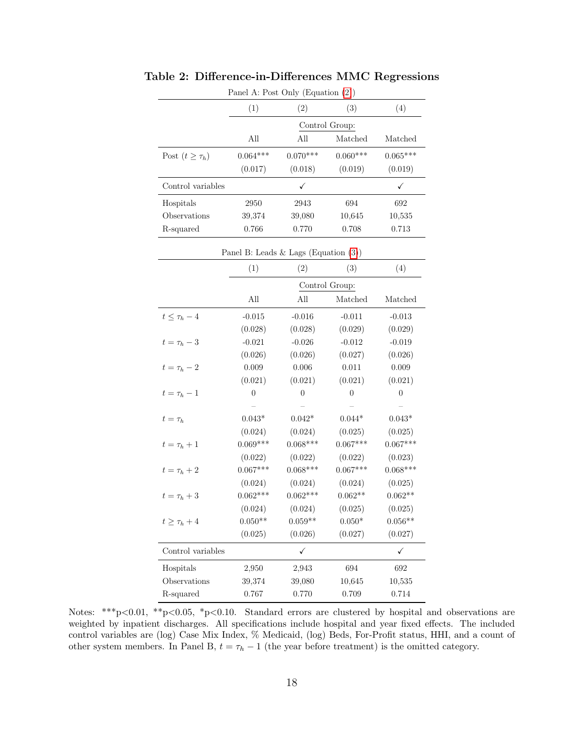| Panel A: Post Only (Equation (2)) |                                         |                |                |                  |  |  |  |
|-----------------------------------|-----------------------------------------|----------------|----------------|------------------|--|--|--|
|                                   | (1)                                     | (2)            | (3)            | (4)              |  |  |  |
|                                   |                                         |                | Control Group: |                  |  |  |  |
|                                   | $\mathop{\rm All}\nolimits$             | All            | Matched        | Matched          |  |  |  |
| Post $(t \geq \tau_h)$            | $0.064***$                              | $0.070***$     | $0.060***$     | $0.065***$       |  |  |  |
|                                   | (0.017)                                 | (0.018)        | (0.019)        | (0.019)          |  |  |  |
| Control variables                 |                                         | ✓              |                | ✓                |  |  |  |
| Hospitals                         | 2950                                    | 2943           | 694            | 692              |  |  |  |
| Observations                      | 39,374                                  | 39,080         | 10,645         | 10,535           |  |  |  |
| R-squared                         | 0.766                                   | 0.770          | 0.708          | $0.713\,$        |  |  |  |
|                                   | Panel B: Leads & Lags (Equation $(3)$ ) |                |                |                  |  |  |  |
|                                   | (1)                                     | (2)            | (3)            | (4)              |  |  |  |
|                                   |                                         |                | Control Group: |                  |  |  |  |
|                                   | All                                     | All            | Matched        | Matched          |  |  |  |
| $t \leq \tau_h - 4$               | $-0.015$                                | $-0.016$       | $-0.011$       | $-0.013$         |  |  |  |
|                                   | (0.028)                                 | (0.028)        | (0.029)        | (0.029)          |  |  |  |
| $t=\tau_h-3$                      | $-0.021$                                | $-0.026$       | $-0.012$       | $-0.019$         |  |  |  |
|                                   | (0.026)                                 | (0.026)        | (0.027)        | (0.026)          |  |  |  |
| $t=\tau_h-2$                      | 0.009                                   | $0.006\,$      | $0.011\,$      | 0.009            |  |  |  |
|                                   | (0.021)                                 | (0.021)        | (0.021)        | (0.021)          |  |  |  |
| $t=\tau_h-1$                      | $\boldsymbol{0}$                        | $\overline{0}$ | $\overline{0}$ | $\boldsymbol{0}$ |  |  |  |
|                                   |                                         |                |                |                  |  |  |  |
| $t=\tau_h$                        | $0.043*$                                | $0.042*$       | $0.044*$       | $0.043*$         |  |  |  |
|                                   | (0.024)                                 | (0.024)        | (0.025)        | (0.025)          |  |  |  |
| $t=\tau_h+1$                      | $0.069***$                              | $0.068***$     | $0.067***$     | $0.067***$       |  |  |  |
|                                   | (0.022)                                 | (0.022)        | (0.022)        | (0.023)          |  |  |  |
| $t=\tau_h+2$                      | $0.067***$                              | $0.068***$     | $0.067***$     | $0.068***$       |  |  |  |
|                                   | (0.024)                                 | (0.024)        | (0.024)        | (0.025)          |  |  |  |
| $t=\tau_h+3$                      | $0.062***$                              | $0.062***$     | $0.062**$      | $0.062**$        |  |  |  |
|                                   | (0.024)                                 | (0.024)        | (0.025)        | (0.025)          |  |  |  |
| $t \geq \tau_h + 4$               | $0.050**$                               | $0.059**$      | $0.050*$       | $0.056**$        |  |  |  |
|                                   | (0.025)                                 | (0.026)        | (0.027)        | (0.027)          |  |  |  |
| Control variables                 |                                         | $\checkmark$   |                | ✓                |  |  |  |
| Hospitals                         | 2,950                                   | 2,943          | 694            | 692              |  |  |  |
| Observations                      | 39,374                                  | 39,080         | 10,645         | 10,535           |  |  |  |
| R-squared                         | 0.767                                   | 0.770          | 0.709          | 0.714            |  |  |  |

<span id="page-18-0"></span>Table 2: Difference-in-Differences MMC Regressions

Notes: \*\*\*p<0.01, \*\*p<0.05, \*p<0.10. Standard errors are clustered by hospital and observations are weighted by inpatient discharges. All specifications include hospital and year fixed effects. The included control variables are (log) Case Mix Index, % Medicaid, (log) Beds, For-Profit status, HHI, and a count of other system members. In Panel B,  $t = \tau_h - 1$  (the year before treatment) is the omitted category.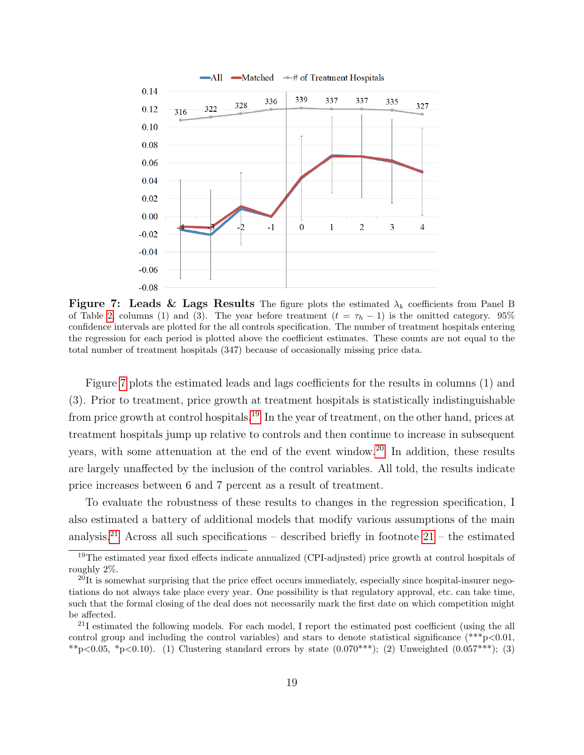<span id="page-19-1"></span>

Figure 7: Leads & Lags Results The figure plots the estimated  $\lambda_k$  coefficients from Panel B of Table [2,](#page-18-0) columns (1) and (3). The year before treatment  $(t = \tau_h - 1)$  is the omitted category. 95% confidence intervals are plotted for the all controls specification. The number of treatment hospitals entering the regression for each period is plotted above the coefficient estimates. These counts are not equal to the total number of treatment hospitals (347) because of occasionally missing price data.

Figure [7](#page-19-1) plots the estimated leads and lags coefficients for the results in columns (1) and (3). Prior to treatment, price growth at treatment hospitals is statistically indistinguishable from price growth at control hospitals.<sup>[19](#page-19-2)</sup> In the year of treatment, on the other hand, prices at treatment hospitals jump up relative to controls and then continue to increase in subsequent years, with some attenuation at the end of the event window.<sup>[20](#page-19-3)</sup> In addition, these results are largely unaffected by the inclusion of the control variables. All told, the results indicate price increases between 6 and 7 percent as a result of treatment.

To evaluate the robustness of these results to changes in the regression specification, I also estimated a battery of additional models that modify various assumptions of the main analysis.<sup>[21](#page-19-0)</sup> Across all such specifications – described briefly in footnote  $21$  – the estimated

<span id="page-19-2"></span><sup>&</sup>lt;sup>19</sup>The estimated year fixed effects indicate annualized (CPI-adjusted) price growth at control hospitals of roughly 2%.

<span id="page-19-3"></span> $^{20}$ It is somewhat surprising that the price effect occurs immediately, especially since hospital-insurer negotiations do not always take place every year. One possibility is that regulatory approval, etc. can take time, such that the formal closing of the deal does not necessarily mark the first date on which competition might be affected.

<span id="page-19-0"></span><sup>&</sup>lt;sup>21</sup>I estimated the following models. For each model, I report the estimated post coefficient (using the all control group and including the control variables) and stars to denote statistical significance  $(**p<0.01$ , \*\*p<0.05, \*p<0.10). (1) Clustering standard errors by state  $(0.070***)$ ; (2) Unweighted  $(0.057***)$ ; (3)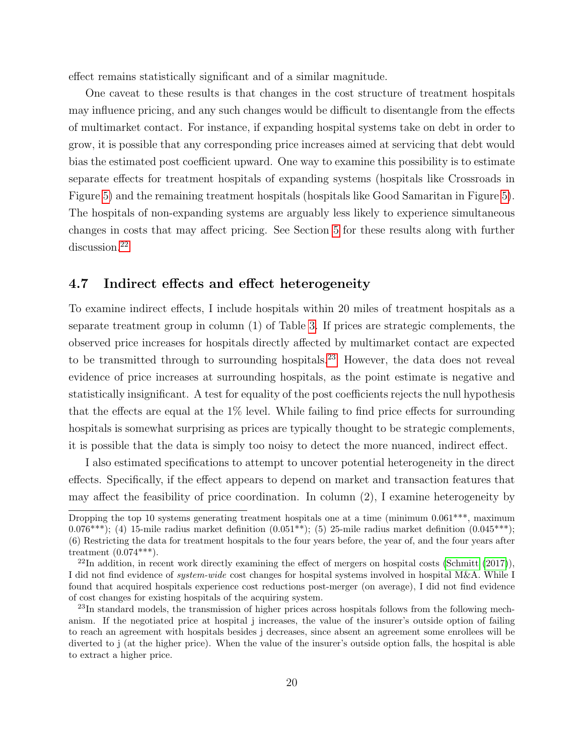effect remains statistically significant and of a similar magnitude.

One caveat to these results is that changes in the cost structure of treatment hospitals may influence pricing, and any such changes would be difficult to disentangle from the effects of multimarket contact. For instance, if expanding hospital systems take on debt in order to grow, it is possible that any corresponding price increases aimed at servicing that debt would bias the estimated post coefficient upward. One way to examine this possibility is to estimate separate effects for treatment hospitals of expanding systems (hospitals like Crossroads in Figure [5\)](#page-11-0) and the remaining treatment hospitals (hospitals like Good Samaritan in Figure [5\)](#page-11-0). The hospitals of non-expanding systems are arguably less likely to experience simultaneous changes in costs that may affect pricing. See Section [5](#page-23-0) for these results along with further discussion.<sup>[22](#page-20-1)</sup>

#### <span id="page-20-0"></span>4.7 Indirect effects and effect heterogeneity

To examine indirect effects, I include hospitals within 20 miles of treatment hospitals as a separate treatment group in column (1) of Table [3.](#page-21-0) If prices are strategic complements, the observed price increases for hospitals directly affected by multimarket contact are expected to be transmitted through to surrounding hospitals.<sup>[23](#page-20-2)</sup> However, the data does not reveal evidence of price increases at surrounding hospitals, as the point estimate is negative and statistically insignificant. A test for equality of the post coefficients rejects the null hypothesis that the effects are equal at the 1% level. While failing to find price effects for surrounding hospitals is somewhat surprising as prices are typically thought to be strategic complements, it is possible that the data is simply too noisy to detect the more nuanced, indirect effect.

I also estimated specifications to attempt to uncover potential heterogeneity in the direct effects. Specifically, if the effect appears to depend on market and transaction features that may affect the feasibility of price coordination. In column (2), I examine heterogeneity by

Dropping the top 10 systems generating treatment hospitals one at a time (minimum 0.061\*\*\*, maximum 0.076\*\*\*); (4) 15-mile radius market definition  $(0.051^{**})$ ; (5) 25-mile radius market definition  $(0.045^{***})$ ; (6) Restricting the data for treatment hospitals to the four years before, the year of, and the four years after treatment  $(0.074***).$ 

<span id="page-20-1"></span> $^{22}$ In addition, in recent work directly examining the effect of mergers on hospital costs [\(Schmitt](#page-30-12) [\(2017\)](#page-30-12)), I did not find evidence of system-wide cost changes for hospital systems involved in hospital M&A. While I found that acquired hospitals experience cost reductions post-merger (on average), I did not find evidence of cost changes for existing hospitals of the acquiring system.

<span id="page-20-2"></span><sup>&</sup>lt;sup>23</sup>In standard models, the transmission of higher prices across hospitals follows from the following mechanism. If the negotiated price at hospital j increases, the value of the insurer's outside option of failing to reach an agreement with hospitals besides j decreases, since absent an agreement some enrollees will be diverted to j (at the higher price). When the value of the insurer's outside option falls, the hospital is able to extract a higher price.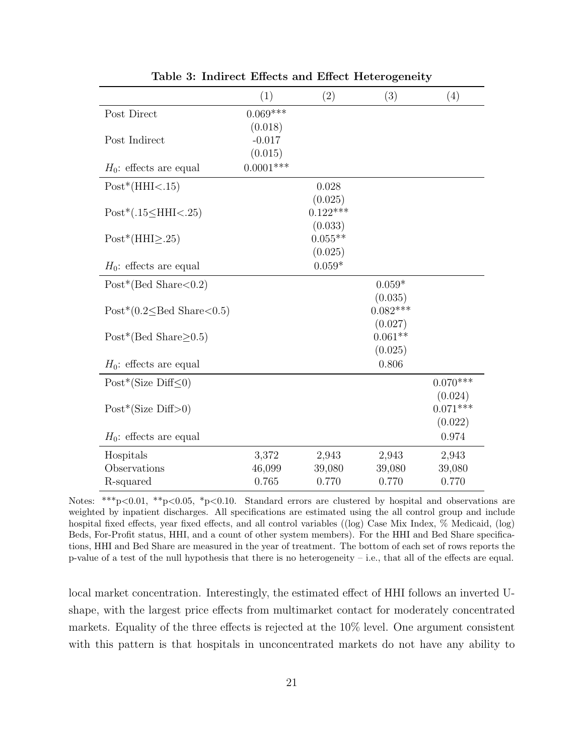<span id="page-21-0"></span>

|                                      | (1)         | (2)        | (3)        | (4)        |
|--------------------------------------|-------------|------------|------------|------------|
| Post Direct                          | $0.069***$  |            |            |            |
|                                      | (0.018)     |            |            |            |
| Post Indirect                        | $-0.017$    |            |            |            |
|                                      | (0.015)     |            |            |            |
| $H_0$ : effects are equal            | $0.0001***$ |            |            |            |
| $Post*(HHI<.15)$                     |             | 0.028      |            |            |
|                                      |             | (0.025)    |            |            |
| $Post*(.15\leq HHI < .25)$           |             | $0.122***$ |            |            |
|                                      |             | (0.033)    |            |            |
| $Post*(HHI\ge.25)$                   |             | $0.055**$  |            |            |
|                                      |             | (0.025)    |            |            |
| $H_0$ : effects are equal            |             | $0.059*$   |            |            |
| Post*(Bed Share $< 0.2$ )            |             |            | $0.059*$   |            |
|                                      |             |            | (0.035)    |            |
| Post* $(0.2 \leq$ Bed Share $< 0.5)$ |             |            | $0.082***$ |            |
|                                      |             |            | (0.027)    |            |
| Post*(Bed Share $\geq$ 0.5)          |             |            | $0.061**$  |            |
|                                      |             |            | (0.025)    |            |
| $H_0$ : effects are equal            |             |            | 0.806      |            |
| Post*(Size Diff $\leq 0$ )           |             |            |            | $0.070***$ |
|                                      |             |            |            | (0.024)    |
| $Post*(Size Diff>0)$                 |             |            |            | $0.071***$ |
|                                      |             |            |            | (0.022)    |
| $H_0$ : effects are equal            |             |            |            | 0.974      |
| Hospitals                            | 3,372       | 2,943      | 2,943      | 2,943      |
| Observations                         | 46,099      | 39,080     | 39,080     | 39,080     |
| R-squared                            | 0.765       | 0.770      | 0.770      | 0.770      |

Table 3: Indirect Effects and Effect Heterogeneity

Notes: \*\*\*p $<0.01$ , \*p $<0.05$ , \*p $<0.10$ . Standard errors are clustered by hospital and observations are weighted by inpatient discharges. All specifications are estimated using the all control group and include hospital fixed effects, year fixed effects, and all control variables ((log) Case Mix Index, % Medicaid, (log) Beds, For-Profit status, HHI, and a count of other system members). For the HHI and Bed Share specifications, HHI and Bed Share are measured in the year of treatment. The bottom of each set of rows reports the p-value of a test of the null hypothesis that there is no heterogeneity – i.e., that all of the effects are equal.

local market concentration. Interestingly, the estimated effect of HHI follows an inverted Ushape, with the largest price effects from multimarket contact for moderately concentrated markets. Equality of the three effects is rejected at the 10% level. One argument consistent with this pattern is that hospitals in unconcentrated markets do not have any ability to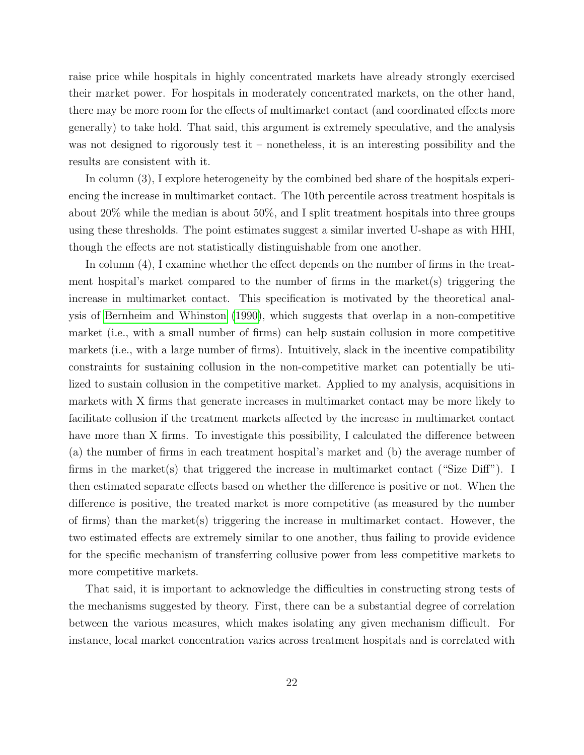raise price while hospitals in highly concentrated markets have already strongly exercised their market power. For hospitals in moderately concentrated markets, on the other hand, there may be more room for the effects of multimarket contact (and coordinated effects more generally) to take hold. That said, this argument is extremely speculative, and the analysis was not designed to rigorously test it – nonetheless, it is an interesting possibility and the results are consistent with it.

In column (3), I explore heterogeneity by the combined bed share of the hospitals experiencing the increase in multimarket contact. The 10th percentile across treatment hospitals is about 20% while the median is about 50%, and I split treatment hospitals into three groups using these thresholds. The point estimates suggest a similar inverted U-shape as with HHI, though the effects are not statistically distinguishable from one another.

In column (4), I examine whether the effect depends on the number of firms in the treatment hospital's market compared to the number of firms in the market(s) triggering the increase in multimarket contact. This specification is motivated by the theoretical analysis of [Bernheim and Whinston](#page-29-4) [\(1990\)](#page-29-4), which suggests that overlap in a non-competitive market (i.e., with a small number of firms) can help sustain collusion in more competitive markets (i.e., with a large number of firms). Intuitively, slack in the incentive compatibility constraints for sustaining collusion in the non-competitive market can potentially be utilized to sustain collusion in the competitive market. Applied to my analysis, acquisitions in markets with X firms that generate increases in multimarket contact may be more likely to facilitate collusion if the treatment markets affected by the increase in multimarket contact have more than X firms. To investigate this possibility, I calculated the difference between (a) the number of firms in each treatment hospital's market and (b) the average number of firms in the market(s) that triggered the increase in multimarket contact ("Size Diff"). I then estimated separate effects based on whether the difference is positive or not. When the difference is positive, the treated market is more competitive (as measured by the number of firms) than the market(s) triggering the increase in multimarket contact. However, the two estimated effects are extremely similar to one another, thus failing to provide evidence for the specific mechanism of transferring collusive power from less competitive markets to more competitive markets.

That said, it is important to acknowledge the difficulties in constructing strong tests of the mechanisms suggested by theory. First, there can be a substantial degree of correlation between the various measures, which makes isolating any given mechanism difficult. For instance, local market concentration varies across treatment hospitals and is correlated with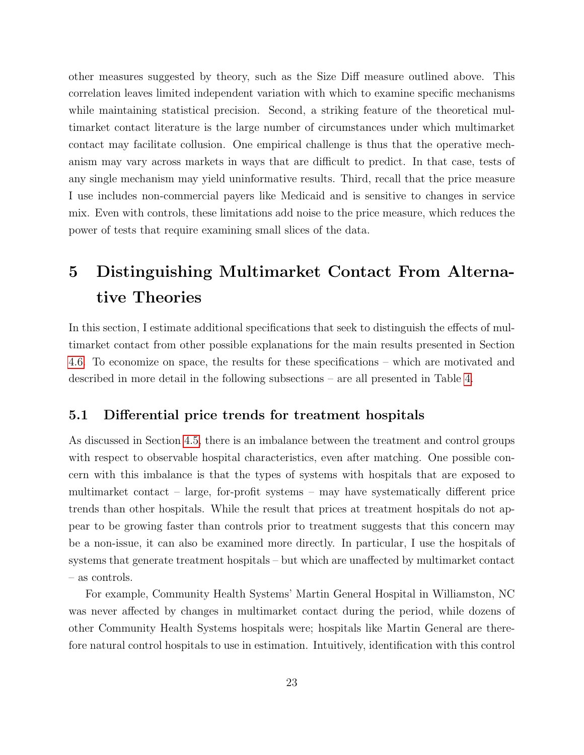other measures suggested by theory, such as the Size Diff measure outlined above. This correlation leaves limited independent variation with which to examine specific mechanisms while maintaining statistical precision. Second, a striking feature of the theoretical multimarket contact literature is the large number of circumstances under which multimarket contact may facilitate collusion. One empirical challenge is thus that the operative mechanism may vary across markets in ways that are difficult to predict. In that case, tests of any single mechanism may yield uninformative results. Third, recall that the price measure I use includes non-commercial payers like Medicaid and is sensitive to changes in service mix. Even with controls, these limitations add noise to the price measure, which reduces the power of tests that require examining small slices of the data.

# <span id="page-23-0"></span>5 Distinguishing Multimarket Contact From Alternative Theories

In this section, I estimate additional specifications that seek to distinguish the effects of multimarket contact from other possible explanations for the main results presented in Section [4.6.](#page-17-1) To economize on space, the results for these specifications – which are motivated and described in more detail in the following subsections – are all presented in Table [4.](#page-26-0)

### 5.1 Differential price trends for treatment hospitals

As discussed in Section [4.5,](#page-16-0) there is an imbalance between the treatment and control groups with respect to observable hospital characteristics, even after matching. One possible concern with this imbalance is that the types of systems with hospitals that are exposed to multimarket contact – large, for-profit systems – may have systematically different price trends than other hospitals. While the result that prices at treatment hospitals do not appear to be growing faster than controls prior to treatment suggests that this concern may be a non-issue, it can also be examined more directly. In particular, I use the hospitals of systems that generate treatment hospitals – but which are unaffected by multimarket contact – as controls.

For example, Community Health Systems' Martin General Hospital in Williamston, NC was never affected by changes in multimarket contact during the period, while dozens of other Community Health Systems hospitals were; hospitals like Martin General are therefore natural control hospitals to use in estimation. Intuitively, identification with this control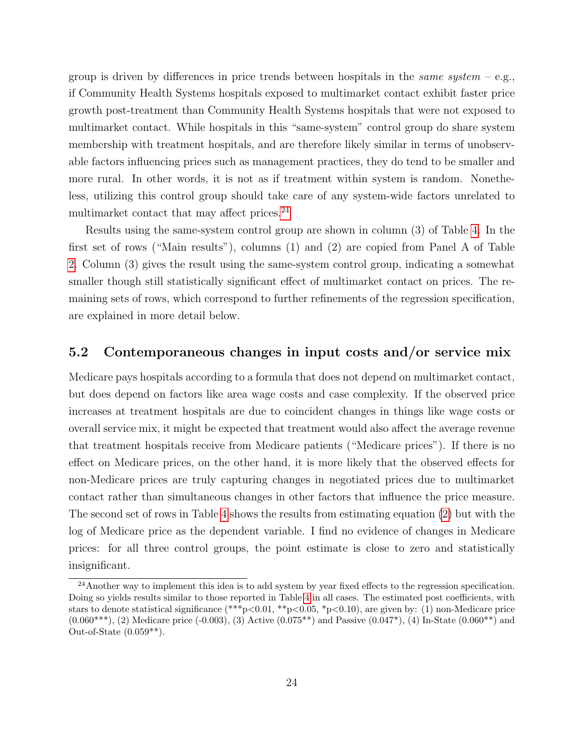group is driven by differences in price trends between hospitals in the *same system*  $-e.g.,$ if Community Health Systems hospitals exposed to multimarket contact exhibit faster price growth post-treatment than Community Health Systems hospitals that were not exposed to multimarket contact. While hospitals in this "same-system" control group do share system membership with treatment hospitals, and are therefore likely similar in terms of unobservable factors influencing prices such as management practices, they do tend to be smaller and more rural. In other words, it is not as if treatment within system is random. Nonetheless, utilizing this control group should take care of any system-wide factors unrelated to multimarket contact that may affect prices.<sup>[24](#page-24-0)</sup>

Results using the same-system control group are shown in column (3) of Table [4.](#page-26-0) In the first set of rows ("Main results"), columns (1) and (2) are copied from Panel A of Table [2.](#page-18-0) Column (3) gives the result using the same-system control group, indicating a somewhat smaller though still statistically significant effect of multimarket contact on prices. The remaining sets of rows, which correspond to further refinements of the regression specification, are explained in more detail below.

### 5.2 Contemporaneous changes in input costs and/or service mix

Medicare pays hospitals according to a formula that does not depend on multimarket contact, but does depend on factors like area wage costs and case complexity. If the observed price increases at treatment hospitals are due to coincident changes in things like wage costs or overall service mix, it might be expected that treatment would also affect the average revenue that treatment hospitals receive from Medicare patients ("Medicare prices"). If there is no effect on Medicare prices, on the other hand, it is more likely that the observed effects for non-Medicare prices are truly capturing changes in negotiated prices due to multimarket contact rather than simultaneous changes in other factors that influence the price measure. The second set of rows in Table [4](#page-26-0) shows the results from estimating equation [\(2\)](#page-15-0) but with the log of Medicare price as the dependent variable. I find no evidence of changes in Medicare prices: for all three control groups, the point estimate is close to zero and statistically insignificant.

<span id="page-24-0"></span><sup>&</sup>lt;sup>24</sup>Another way to implement this idea is to add system by year fixed effects to the regression specification. Doing so yields results similar to those reported in Table [4](#page-26-0) in all cases. The estimated post coefficients, with stars to denote statistical significance (\*\*\*p<0.01, \*\*p<0.05, \*p<0.10), are given by: (1) non-Medicare price  $(0.060^{***})$ , (2) Medicare price  $(-0.003)$ , (3) Active  $(0.075^{**})$  and Passive  $(0.047^*)$ , (4) In-State  $(0.060^{**})$  and Out-of-State  $(0.059**)$ .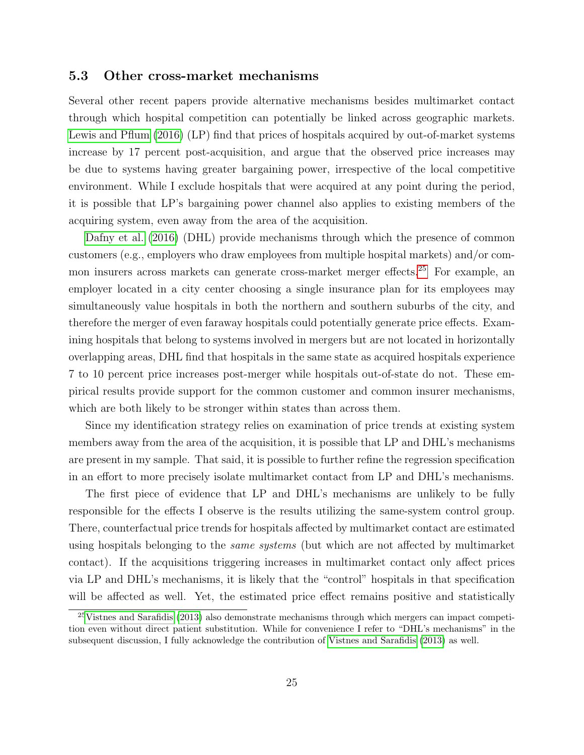#### 5.3 Other cross-market mechanisms

Several other recent papers provide alternative mechanisms besides multimarket contact through which hospital competition can potentially be linked across geographic markets. [Lewis and Pflum](#page-30-1) [\(2016\)](#page-30-1) (LP) find that prices of hospitals acquired by out-of-market systems increase by 17 percent post-acquisition, and argue that the observed price increases may be due to systems having greater bargaining power, irrespective of the local competitive environment. While I exclude hospitals that were acquired at any point during the period, it is possible that LP's bargaining power channel also applies to existing members of the acquiring system, even away from the area of the acquisition.

[Dafny et al.](#page-29-7) [\(2016\)](#page-29-7) (DHL) provide mechanisms through which the presence of common customers (e.g., employers who draw employees from multiple hospital markets) and/or com-mon insurers across markets can generate cross-market merger effects.<sup>[25](#page-25-0)</sup> For example, an employer located in a city center choosing a single insurance plan for its employees may simultaneously value hospitals in both the northern and southern suburbs of the city, and therefore the merger of even faraway hospitals could potentially generate price effects. Examining hospitals that belong to systems involved in mergers but are not located in horizontally overlapping areas, DHL find that hospitals in the same state as acquired hospitals experience 7 to 10 percent price increases post-merger while hospitals out-of-state do not. These empirical results provide support for the common customer and common insurer mechanisms, which are both likely to be stronger within states than across them.

Since my identification strategy relies on examination of price trends at existing system members away from the area of the acquisition, it is possible that LP and DHL's mechanisms are present in my sample. That said, it is possible to further refine the regression specification in an effort to more precisely isolate multimarket contact from LP and DHL's mechanisms.

The first piece of evidence that LP and DHL's mechanisms are unlikely to be fully responsible for the effects I observe is the results utilizing the same-system control group. There, counterfactual price trends for hospitals affected by multimarket contact are estimated using hospitals belonging to the same systems (but which are not affected by multimarket contact). If the acquisitions triggering increases in multimarket contact only affect prices via LP and DHL's mechanisms, it is likely that the "control" hospitals in that specification will be affected as well. Yet, the estimated price effect remains positive and statistically

<span id="page-25-0"></span><sup>25</sup>[Vistnes and Sarafidis](#page-31-1) [\(2013\)](#page-31-1) also demonstrate mechanisms through which mergers can impact competition even without direct patient substitution. While for convenience I refer to "DHL's mechanisms" in the subsequent discussion, I fully acknowledge the contribution of [Vistnes and Sarafidis](#page-31-1) [\(2013\)](#page-31-1) as well.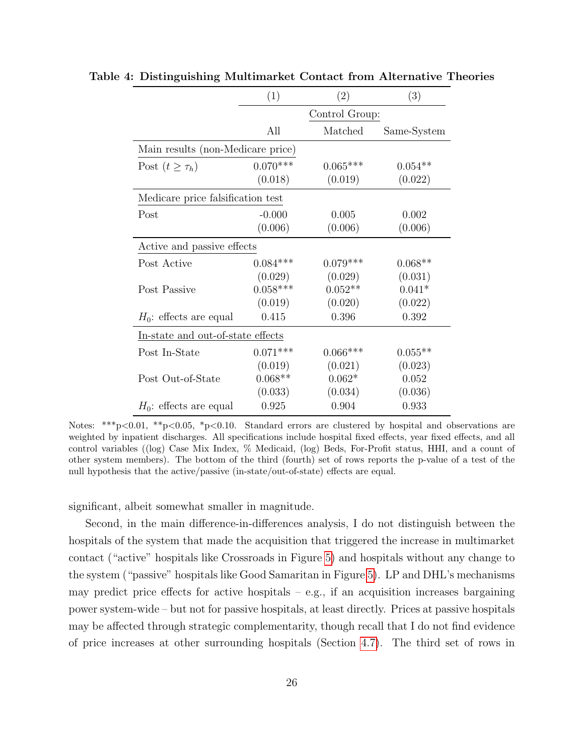|                                   | (1)        | (2)            | (3)         |  |  |  |  |
|-----------------------------------|------------|----------------|-------------|--|--|--|--|
|                                   |            | Control Group: |             |  |  |  |  |
|                                   | All        | Matched        | Same-System |  |  |  |  |
| Main results (non-Medicare price) |            |                |             |  |  |  |  |
| Post $(t \geq \tau_h)$            | $0.070***$ | $0.065***$     | $0.054**$   |  |  |  |  |
|                                   | (0.018)    | (0.019)        | (0.022)     |  |  |  |  |
| Medicare price falsification test |            |                |             |  |  |  |  |
| Post                              | $-0.000$   | 0.005          | 0.002       |  |  |  |  |
|                                   | (0.006)    | (0.006)        | (0.006)     |  |  |  |  |
| Active and passive effects        |            |                |             |  |  |  |  |
| Post Active                       | $0.084***$ | $0.079***$     | $0.068**$   |  |  |  |  |
|                                   | (0.029)    | (0.029)        | (0.031)     |  |  |  |  |
| Post Passive                      | $0.058***$ | $0.052**$      | $0.041*$    |  |  |  |  |
|                                   | (0.019)    | (0.020)        | (0.022)     |  |  |  |  |
| $H_0$ : effects are equal         | 0.415      | 0.396          | 0.392       |  |  |  |  |
| In-state and out-of-state effects |            |                |             |  |  |  |  |
| Post In-State                     | $0.071***$ | $0.066***$     | $0.055**$   |  |  |  |  |
|                                   | (0.019)    | (0.021)        | (0.023)     |  |  |  |  |
| Post Out-of-State                 | $0.068**$  | $0.062*$       | 0.052       |  |  |  |  |
|                                   | (0.033)    | (0.034)        | (0.036)     |  |  |  |  |
| $H_0$ : effects are equal         | 0.925      | 0.904          | 0.933       |  |  |  |  |

<span id="page-26-0"></span>Table 4: Distinguishing Multimarket Contact from Alternative Theories

Notes: \*\*\*p<0.01, \*\*p<0.05, \*p<0.10. Standard errors are clustered by hospital and observations are weighted by inpatient discharges. All specifications include hospital fixed effects, year fixed effects, and all control variables ((log) Case Mix Index, % Medicaid, (log) Beds, For-Profit status, HHI, and a count of other system members). The bottom of the third (fourth) set of rows reports the p-value of a test of the null hypothesis that the active/passive (in-state/out-of-state) effects are equal.

significant, albeit somewhat smaller in magnitude.

Second, in the main difference-in-differences analysis, I do not distinguish between the hospitals of the system that made the acquisition that triggered the increase in multimarket contact ("active" hospitals like Crossroads in Figure [5\)](#page-11-0) and hospitals without any change to the system ("passive" hospitals like Good Samaritan in Figure [5\)](#page-11-0). LP and DHL's mechanisms may predict price effects for active hospitals  $-$  e.g., if an acquisition increases bargaining power system-wide – but not for passive hospitals, at least directly. Prices at passive hospitals may be affected through strategic complementarity, though recall that I do not find evidence of price increases at other surrounding hospitals (Section [4.7\)](#page-20-0). The third set of rows in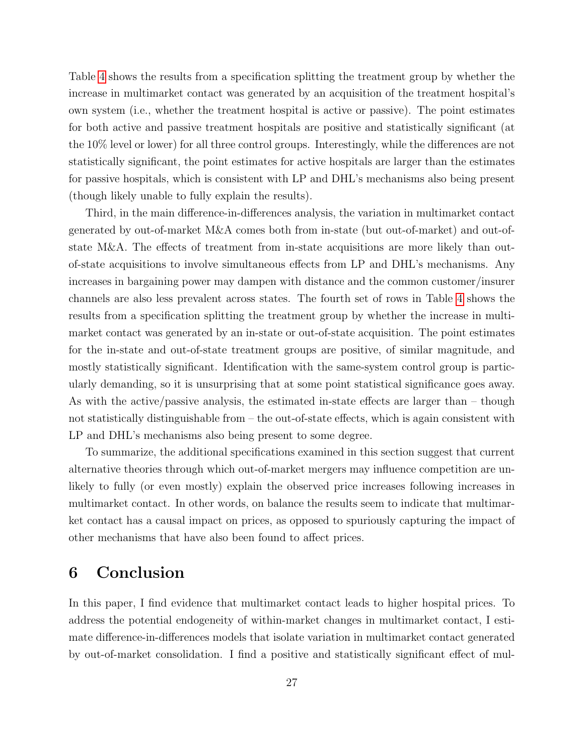Table [4](#page-26-0) shows the results from a specification splitting the treatment group by whether the increase in multimarket contact was generated by an acquisition of the treatment hospital's own system (i.e., whether the treatment hospital is active or passive). The point estimates for both active and passive treatment hospitals are positive and statistically significant (at the 10% level or lower) for all three control groups. Interestingly, while the differences are not statistically significant, the point estimates for active hospitals are larger than the estimates for passive hospitals, which is consistent with LP and DHL's mechanisms also being present (though likely unable to fully explain the results).

Third, in the main difference-in-differences analysis, the variation in multimarket contact generated by out-of-market M&A comes both from in-state (but out-of-market) and out-ofstate M&A. The effects of treatment from in-state acquisitions are more likely than outof-state acquisitions to involve simultaneous effects from LP and DHL's mechanisms. Any increases in bargaining power may dampen with distance and the common customer/insurer channels are also less prevalent across states. The fourth set of rows in Table [4](#page-26-0) shows the results from a specification splitting the treatment group by whether the increase in multimarket contact was generated by an in-state or out-of-state acquisition. The point estimates for the in-state and out-of-state treatment groups are positive, of similar magnitude, and mostly statistically significant. Identification with the same-system control group is particularly demanding, so it is unsurprising that at some point statistical significance goes away. As with the active/passive analysis, the estimated in-state effects are larger than – though not statistically distinguishable from – the out-of-state effects, which is again consistent with LP and DHL's mechanisms also being present to some degree.

To summarize, the additional specifications examined in this section suggest that current alternative theories through which out-of-market mergers may influence competition are unlikely to fully (or even mostly) explain the observed price increases following increases in multimarket contact. In other words, on balance the results seem to indicate that multimarket contact has a causal impact on prices, as opposed to spuriously capturing the impact of other mechanisms that have also been found to affect prices.

## <span id="page-27-0"></span>6 Conclusion

In this paper, I find evidence that multimarket contact leads to higher hospital prices. To address the potential endogeneity of within-market changes in multimarket contact, I estimate difference-in-differences models that isolate variation in multimarket contact generated by out-of-market consolidation. I find a positive and statistically significant effect of mul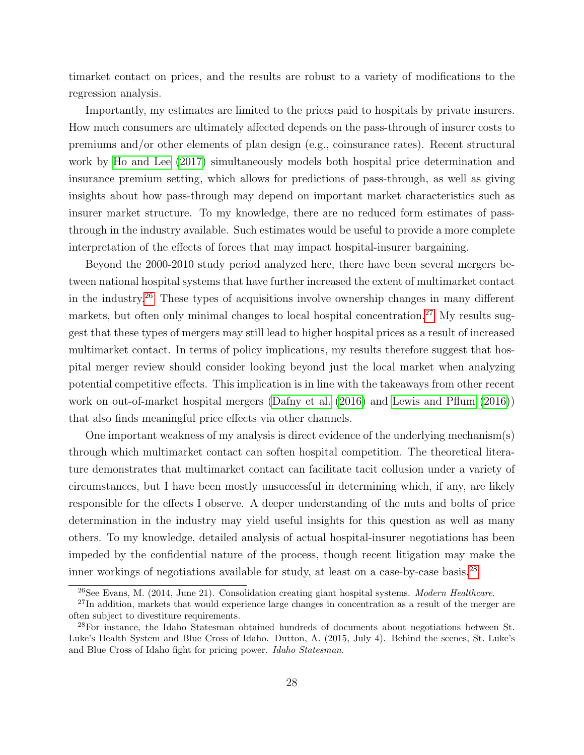timarket contact on prices, and the results are robust to a variety of modifications to the regression analysis.

Importantly, my estimates are limited to the prices paid to hospitals by private insurers. How much consumers are ultimately affected depends on the pass-through of insurer costs to premiums and/or other elements of plan design (e.g., coinsurance rates). Recent structural work by [Ho and Lee](#page-30-8) [\(2017\)](#page-30-8) simultaneously models both hospital price determination and insurance premium setting, which allows for predictions of pass-through, as well as giving insights about how pass-through may depend on important market characteristics such as insurer market structure. To my knowledge, there are no reduced form estimates of passthrough in the industry available. Such estimates would be useful to provide a more complete interpretation of the effects of forces that may impact hospital-insurer bargaining.

Beyond the 2000-2010 study period analyzed here, there have been several mergers between national hospital systems that have further increased the extent of multimarket contact in the industry.[26](#page-28-0) These types of acquisitions involve ownership changes in many different markets, but often only minimal changes to local hospital concentration.<sup>[27](#page-28-1)</sup> My results suggest that these types of mergers may still lead to higher hospital prices as a result of increased multimarket contact. In terms of policy implications, my results therefore suggest that hospital merger review should consider looking beyond just the local market when analyzing potential competitive effects. This implication is in line with the takeaways from other recent work on out-of-market hospital mergers [\(Dafny et al.](#page-29-7) [\(2016\)](#page-29-7) and [Lewis and Pflum](#page-30-1) [\(2016\)](#page-30-1)) that also finds meaningful price effects via other channels.

One important weakness of my analysis is direct evidence of the underlying mechanism(s) through which multimarket contact can soften hospital competition. The theoretical literature demonstrates that multimarket contact can facilitate tacit collusion under a variety of circumstances, but I have been mostly unsuccessful in determining which, if any, are likely responsible for the effects I observe. A deeper understanding of the nuts and bolts of price determination in the industry may yield useful insights for this question as well as many others. To my knowledge, detailed analysis of actual hospital-insurer negotiations has been impeded by the confidential nature of the process, though recent litigation may make the inner workings of negotiations available for study, at least on a case-by-case basis.<sup>[28](#page-28-2)</sup>

<span id="page-28-1"></span><span id="page-28-0"></span><sup>&</sup>lt;sup>26</sup>See Evans, M. (2014, June 21). Consolidation creating giant hospital systems. Modern Healthcare.

<sup>&</sup>lt;sup>27</sup>In addition, markets that would experience large changes in concentration as a result of the merger are often subject to divestiture requirements.

<span id="page-28-2"></span><sup>&</sup>lt;sup>28</sup>For instance, the Idaho Statesman obtained hundreds of documents about negotiations between St. Luke's Health System and Blue Cross of Idaho. Dutton, A. (2015, July 4). Behind the scenes, St. Luke's and Blue Cross of Idaho fight for pricing power. Idaho Statesman.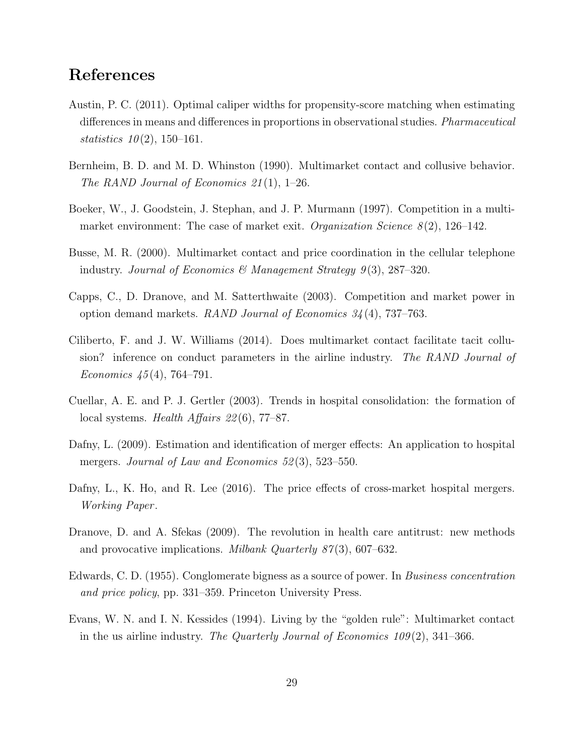## References

- <span id="page-29-10"></span>Austin, P. C. (2011). Optimal caliper widths for propensity-score matching when estimating differences in means and differences in proportions in observational studies. Pharmaceutical statistics  $10(2)$ , 150-161.
- <span id="page-29-4"></span>Bernheim, B. D. and M. D. Whinston (1990). Multimarket contact and collusive behavior. The RAND Journal of Economics 21 (1), 1–26.
- <span id="page-29-6"></span>Boeker, W., J. Goodstein, J. Stephan, and J. P. Murmann (1997). Competition in a multimarket environment: The case of market exit. *Organization Science*  $8(2)$ , 126–142.
- <span id="page-29-9"></span>Busse, M. R. (2000). Multimarket contact and price coordination in the cellular telephone industry. Journal of Economics & Management Strategy  $9(3)$ , 287–320.
- <span id="page-29-0"></span>Capps, C., D. Dranove, and M. Satterthwaite (2003). Competition and market power in option demand markets. RAND Journal of Economics  $34(4)$ , 737–763.
- <span id="page-29-11"></span>Ciliberto, F. and J. W. Williams (2014). Does multimarket contact facilitate tacit collusion? inference on conduct parameters in the airline industry. The RAND Journal of Economics  $45(4)$ , 764–791.
- <span id="page-29-2"></span>Cuellar, A. E. and P. J. Gertler (2003). Trends in hospital consolidation: the formation of local systems. *Health Affairs* 22(6), 77–87.
- <span id="page-29-1"></span>Dafny, L. (2009). Estimation and identification of merger effects: An application to hospital mergers. Journal of Law and Economics 52(3), 523–550.
- <span id="page-29-7"></span>Dafny, L., K. Ho, and R. Lee (2016). The price effects of cross-market hospital mergers. Working Paper.
- <span id="page-29-8"></span>Dranove, D. and A. Sfekas (2009). The revolution in health care antitrust: new methods and provocative implications. Milbank Quarterly  $87(3)$ , 607–632.
- <span id="page-29-3"></span>Edwards, C. D. (1955). Conglomerate bigness as a source of power. In Business concentration and price policy, pp. 331–359. Princeton University Press.
- <span id="page-29-5"></span>Evans, W. N. and I. N. Kessides (1994). Living by the "golden rule": Multimarket contact in the us airline industry. The Quarterly Journal of Economics 109 (2), 341–366.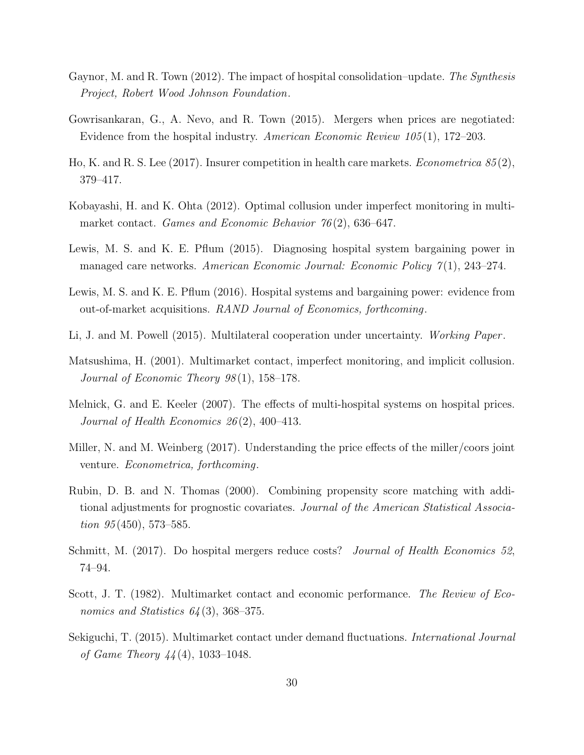- <span id="page-30-3"></span>Gaynor, M. and R. Town (2012). The impact of hospital consolidation–update. The Synthesis Project, Robert Wood Johnson Foundation.
- <span id="page-30-0"></span>Gowrisankaran, G., A. Nevo, and R. Town (2015). Mergers when prices are negotiated: Evidence from the hospital industry. American Economic Review 105 (1), 172–203.
- <span id="page-30-8"></span>Ho, K. and R. S. Lee (2017). Insurer competition in health care markets. *Econometrica*  $85(2)$ , 379–417.
- <span id="page-30-5"></span>Kobayashi, H. and K. Ohta (2012). Optimal collusion under imperfect monitoring in multimarket contact. Games and Economic Behavior 76(2), 636–647.
- <span id="page-30-10"></span>Lewis, M. S. and K. E. Pflum (2015). Diagnosing hospital system bargaining power in managed care networks. American Economic Journal: Economic Policy  $\gamma(1)$ , 243–274.
- <span id="page-30-1"></span>Lewis, M. S. and K. E. Pflum (2016). Hospital systems and bargaining power: evidence from out-of-market acquisitions. RAND Journal of Economics, forthcoming.
- <span id="page-30-6"></span>Li, J. and M. Powell (2015). Multilateral cooperation under uncertainty. Working Paper.
- <span id="page-30-4"></span>Matsushima, H. (2001). Multimarket contact, imperfect monitoring, and implicit collusion. Journal of Economic Theory  $98(1)$ , 158-178.
- <span id="page-30-13"></span>Melnick, G. and E. Keeler (2007). The effects of multi-hospital systems on hospital prices. Journal of Health Economics 26 (2), 400–413.
- <span id="page-30-2"></span>Miller, N. and M. Weinberg (2017). Understanding the price effects of the miller/coors joint venture. Econometrica, forthcoming.
- <span id="page-30-11"></span>Rubin, D. B. and N. Thomas (2000). Combining propensity score matching with additional adjustments for prognostic covariates. Journal of the American Statistical Association  $95(450)$ , 573-585.
- <span id="page-30-12"></span>Schmitt, M. (2017). Do hospital mergers reduce costs? *Journal of Health Economics 52*, 74–94.
- <span id="page-30-9"></span>Scott, J. T. (1982). Multimarket contact and economic performance. The Review of Economics and Statistics  $64(3)$ , 368–375.
- <span id="page-30-7"></span>Sekiguchi, T. (2015). Multimarket contact under demand fluctuations. International Journal of Game Theory 44 (4), 1033–1048.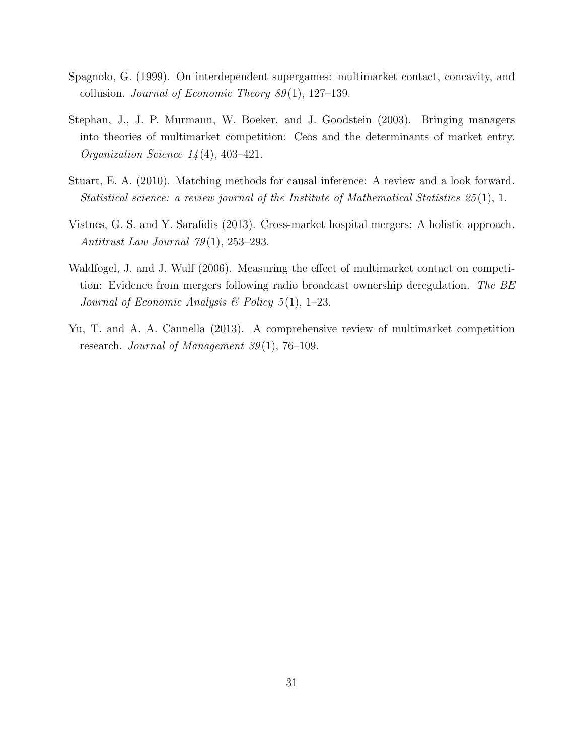- <span id="page-31-3"></span>Spagnolo, G. (1999). On interdependent supergames: multimarket contact, concavity, and collusion. Journal of Economic Theory  $89(1)$ , 127–139.
- <span id="page-31-0"></span>Stephan, J., J. P. Murmann, W. Boeker, and J. Goodstein (2003). Bringing managers into theories of multimarket competition: Ceos and the determinants of market entry. Organization Science 14 (4), 403–421.
- <span id="page-31-5"></span>Stuart, E. A. (2010). Matching methods for causal inference: A review and a look forward. Statistical science: a review journal of the Institute of Mathematical Statistics 25 (1), 1.
- <span id="page-31-1"></span>Vistnes, G. S. and Y. Sarafidis (2013). Cross-market hospital mergers: A holistic approach. Antitrust Law Journal  $79(1)$ , 253–293.
- <span id="page-31-2"></span>Waldfogel, J. and J. Wulf (2006). Measuring the effect of multimarket contact on competition: Evidence from mergers following radio broadcast ownership deregulation. The BE Journal of Economic Analysis & Policy  $5(1)$ , 1–23.
- <span id="page-31-4"></span>Yu, T. and A. A. Cannella (2013). A comprehensive review of multimarket competition research. Journal of Management  $39(1)$ , 76-109.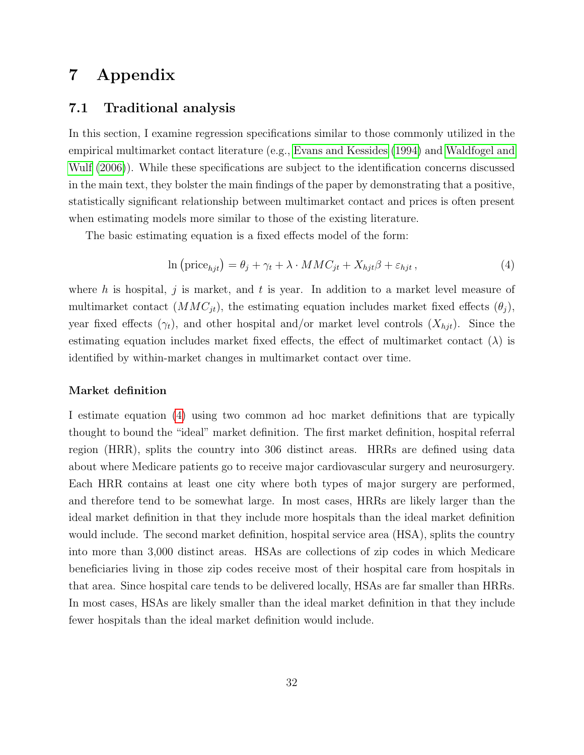## 7 Appendix

### <span id="page-32-0"></span>7.1 Traditional analysis

In this section, I examine regression specifications similar to those commonly utilized in the empirical multimarket contact literature (e.g., [Evans and Kessides](#page-29-5) [\(1994\)](#page-29-5) and [Waldfogel and](#page-31-2) [Wulf](#page-31-2) [\(2006\)](#page-31-2)). While these specifications are subject to the identification concerns discussed in the main text, they bolster the main findings of the paper by demonstrating that a positive, statistically significant relationship between multimarket contact and prices is often present when estimating models more similar to those of the existing literature.

The basic estimating equation is a fixed effects model of the form:

<span id="page-32-1"></span>
$$
\ln(\text{price}_{hjt}) = \theta_j + \gamma_t + \lambda \cdot MMC_{jt} + X_{hjt}\beta + \varepsilon_{hjt},\tag{4}
$$

where h is hospital, j is market, and t is year. In addition to a market level measure of multimarket contact  $(MMC_{jt})$ , the estimating equation includes market fixed effects  $(\theta_j)$ , year fixed effects  $(\gamma_t)$ , and other hospital and/or market level controls  $(X_{hjt})$ . Since the estimating equation includes market fixed effects, the effect of multimarket contact  $(\lambda)$  is identified by within-market changes in multimarket contact over time.

#### Market definition

I estimate equation [\(4\)](#page-32-1) using two common ad hoc market definitions that are typically thought to bound the "ideal" market definition. The first market definition, hospital referral region (HRR), splits the country into 306 distinct areas. HRRs are defined using data about where Medicare patients go to receive major cardiovascular surgery and neurosurgery. Each HRR contains at least one city where both types of major surgery are performed, and therefore tend to be somewhat large. In most cases, HRRs are likely larger than the ideal market definition in that they include more hospitals than the ideal market definition would include. The second market definition, hospital service area (HSA), splits the country into more than 3,000 distinct areas. HSAs are collections of zip codes in which Medicare beneficiaries living in those zip codes receive most of their hospital care from hospitals in that area. Since hospital care tends to be delivered locally, HSAs are far smaller than HRRs. In most cases, HSAs are likely smaller than the ideal market definition in that they include fewer hospitals than the ideal market definition would include.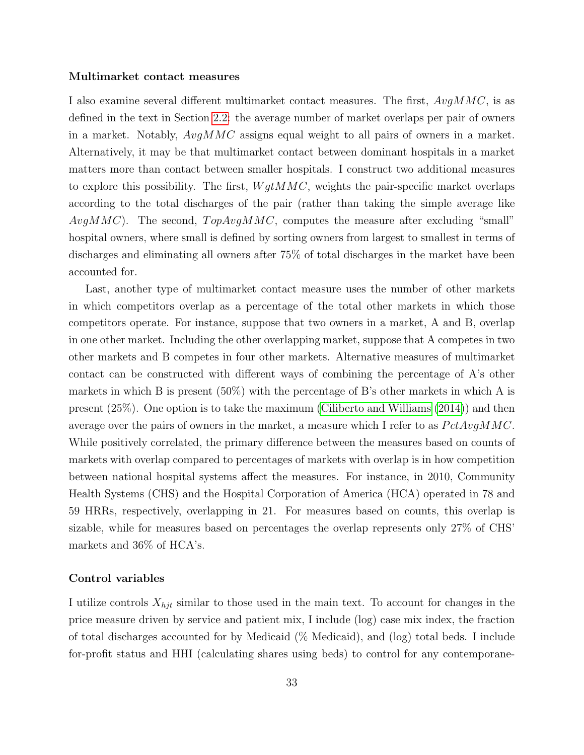#### Multimarket contact measures

I also examine several different multimarket contact measures. The first,  $AvgMMC$ , is as defined in the text in Section [2.2:](#page-5-1) the average number of market overlaps per pair of owners in a market. Notably,  $AvgMMC$  assigns equal weight to all pairs of owners in a market. Alternatively, it may be that multimarket contact between dominant hospitals in a market matters more than contact between smaller hospitals. I construct two additional measures to explore this possibility. The first,  $Wg t/M/C$ , weights the pair-specific market overlaps according to the total discharges of the pair (rather than taking the simple average like  $AvgMMC$ ). The second,  $TopAvgMMC$ , computes the measure after excluding "small" hospital owners, where small is defined by sorting owners from largest to smallest in terms of discharges and eliminating all owners after 75% of total discharges in the market have been accounted for.

Last, another type of multimarket contact measure uses the number of other markets in which competitors overlap as a percentage of the total other markets in which those competitors operate. For instance, suppose that two owners in a market, A and B, overlap in one other market. Including the other overlapping market, suppose that A competes in two other markets and B competes in four other markets. Alternative measures of multimarket contact can be constructed with different ways of combining the percentage of A's other markets in which B is present (50%) with the percentage of B's other markets in which A is present (25%). One option is to take the maximum [\(Ciliberto and Williams](#page-29-11) [\(2014\)](#page-29-11)) and then average over the pairs of owners in the market, a measure which I refer to as  $PctAvgMMC$ . While positively correlated, the primary difference between the measures based on counts of markets with overlap compared to percentages of markets with overlap is in how competition between national hospital systems affect the measures. For instance, in 2010, Community Health Systems (CHS) and the Hospital Corporation of America (HCA) operated in 78 and 59 HRRs, respectively, overlapping in 21. For measures based on counts, this overlap is sizable, while for measures based on percentages the overlap represents only 27% of CHS' markets and 36% of HCA's.

#### Control variables

I utilize controls  $X_{hit}$  similar to those used in the main text. To account for changes in the price measure driven by service and patient mix, I include (log) case mix index, the fraction of total discharges accounted for by Medicaid (% Medicaid), and (log) total beds. I include for-profit status and HHI (calculating shares using beds) to control for any contemporane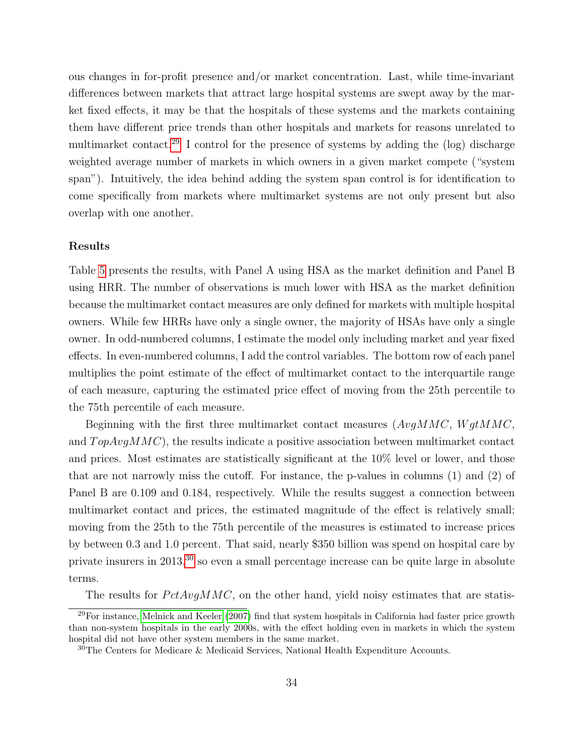ous changes in for-profit presence and/or market concentration. Last, while time-invariant differences between markets that attract large hospital systems are swept away by the market fixed effects, it may be that the hospitals of these systems and the markets containing them have different price trends than other hospitals and markets for reasons unrelated to multimarket contact.[29](#page-34-0) I control for the presence of systems by adding the (log) discharge weighted average number of markets in which owners in a given market compete ("system") span"). Intuitively, the idea behind adding the system span control is for identification to come specifically from markets where multimarket systems are not only present but also overlap with one another.

#### Results

Table [5](#page-35-0) presents the results, with Panel A using HSA as the market definition and Panel B using HRR. The number of observations is much lower with HSA as the market definition because the multimarket contact measures are only defined for markets with multiple hospital owners. While few HRRs have only a single owner, the majority of HSAs have only a single owner. In odd-numbered columns, I estimate the model only including market and year fixed effects. In even-numbered columns, I add the control variables. The bottom row of each panel multiplies the point estimate of the effect of multimarket contact to the interquartile range of each measure, capturing the estimated price effect of moving from the 25th percentile to the 75th percentile of each measure.

Beginning with the first three multimarket contact measures  $(AvgMMC, WgtMAC)$ and  $TopAvgMMC$ , the results indicate a positive association between multimarket contact and prices. Most estimates are statistically significant at the 10% level or lower, and those that are not narrowly miss the cutoff. For instance, the p-values in columns (1) and (2) of Panel B are 0.109 and 0.184, respectively. While the results suggest a connection between multimarket contact and prices, the estimated magnitude of the effect is relatively small; moving from the 25th to the 75th percentile of the measures is estimated to increase prices by between 0.3 and 1.0 percent. That said, nearly \$350 billion was spend on hospital care by private insurers in  $2013<sup>30</sup>$  $2013<sup>30</sup>$  $2013<sup>30</sup>$  so even a small percentage increase can be quite large in absolute terms.

The results for  $PctAvgMMC$ , on the other hand, yield noisy estimates that are statis-

<span id="page-34-0"></span><sup>29</sup>For instance, [Melnick and Keeler](#page-30-13) [\(2007\)](#page-30-13) find that system hospitals in California had faster price growth than non-system hospitals in the early 2000s, with the effect holding even in markets in which the system hospital did not have other system members in the same market.

<span id="page-34-1"></span> $30$ The Centers for Medicare & Medicaid Services, National Health Expenditure Accounts.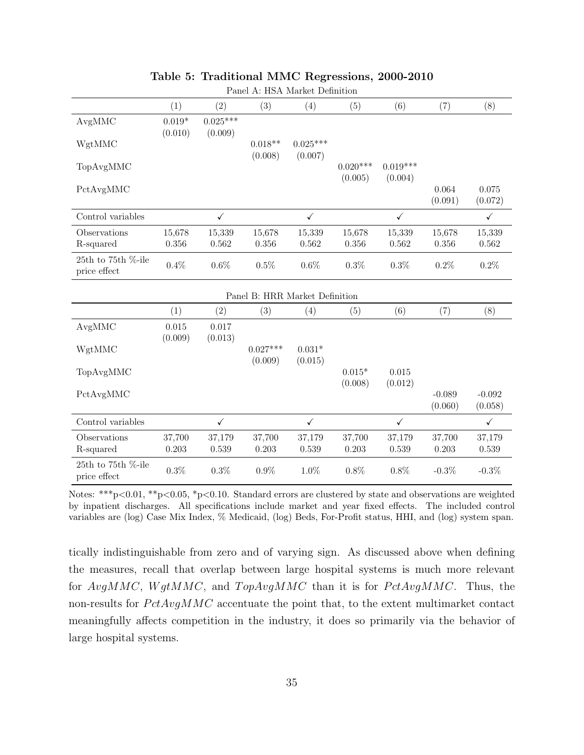<span id="page-35-0"></span>

| Panel A: HSA Market Definition       |                     |                       |                       |                                |                     |                  |                     |                       |
|--------------------------------------|---------------------|-----------------------|-----------------------|--------------------------------|---------------------|------------------|---------------------|-----------------------|
|                                      | (1)                 | (2)                   | (3)                   | (4)                            | (5)                 | (6)              | (7)                 | (8)                   |
| AvgMMC                               | $0.019*$<br>(0.010) | $0.025***$<br>(0.009) |                       |                                |                     |                  |                     |                       |
| WgtMMC                               |                     |                       | $0.018**$<br>(0.008)  | $0.025***$<br>(0.007)          |                     |                  |                     |                       |
| TopAvgMMC                            |                     |                       |                       |                                | $0.020***$          | $0.019***$       |                     |                       |
| PctAvgMMC                            |                     |                       |                       |                                | (0.005)             | (0.004)          | 0.064<br>(0.091)    | 0.075<br>(0.072)      |
| Control variables                    |                     | $\checkmark$          |                       | $\checkmark$                   |                     | $\checkmark$     |                     | $\checkmark$          |
| Observations<br>R-squared            | 15,678<br>$0.356\,$ | 15,339<br>0.562       | 15,678<br>0.356       | 15,339<br>0.562                | 15,678<br>0.356     | 15,339<br>0.562  | 15,678<br>0.356     | 15,339<br>0.562       |
| $25th$ to 75th %-ile<br>price effect | 0.4%                | 0.6%                  | 0.5%                  | 0.6%                           | 0.3%                | 0.3%             | 0.2%                | 0.2%                  |
|                                      |                     |                       |                       | Panel B: HRR Market Definition |                     |                  |                     |                       |
|                                      | (1)                 | (2)                   | (3)                   | (4)                            | (5)                 | (6)              | (7)                 | (8)                   |
| AvgMMC                               | 0.015<br>(0.009)    | 0.017<br>(0.013)      |                       |                                |                     |                  |                     |                       |
| WgtMMC                               |                     |                       | $0.027***$<br>(0.009) | $0.031*$<br>(0.015)            |                     |                  |                     |                       |
| TopAvgMMC                            |                     |                       |                       |                                | $0.015*$<br>(0.008) | 0.015<br>(0.012) |                     |                       |
| PctAvgMMC                            |                     |                       |                       |                                |                     |                  | $-0.089$<br>(0.060) | $-0.092$<br>(0.058)   |
| Control variables                    |                     | $\checkmark$          |                       | $\checkmark$                   |                     | $\checkmark$     |                     | $\checkmark$          |
| Observations<br>R-squared            | 37,700<br>0.203     | 37,179<br>$\,0.539\,$ | 37,700<br>0.203       | 37,179<br>0.539                | 37,700<br>0.203     | 37,179<br>0.539  | 37,700<br>0.203     | 37,179<br>$\,0.539\,$ |
| 25th to 75th %-ile<br>price effect   | $0.3\%$             | 0.3%                  | $0.9\%$               | $1.0\%$                        | 0.8%                | 0.8%             | $-0.3\%$            | $-0.3\%$              |

#### Table 5: Traditional MMC Regressions, 2000-2010

Notes: \*\*\*p<0.01, \*\*p<0.05, \*p<0.10. Standard errors are clustered by state and observations are weighted by inpatient discharges. All specifications include market and year fixed effects. The included control variables are (log) Case Mix Index, % Medicaid, (log) Beds, For-Profit status, HHI, and (log) system span.

tically indistinguishable from zero and of varying sign. As discussed above when defining the measures, recall that overlap between large hospital systems is much more relevant for  $AvgMMC$ ,  $WgtMMC$ , and  $TopAvgMMC$  than it is for  $PctAvgMMC$ . Thus, the non-results for  $PctAvgMMC$  accentuate the point that, to the extent multimarket contact meaningfully affects competition in the industry, it does so primarily via the behavior of large hospital systems.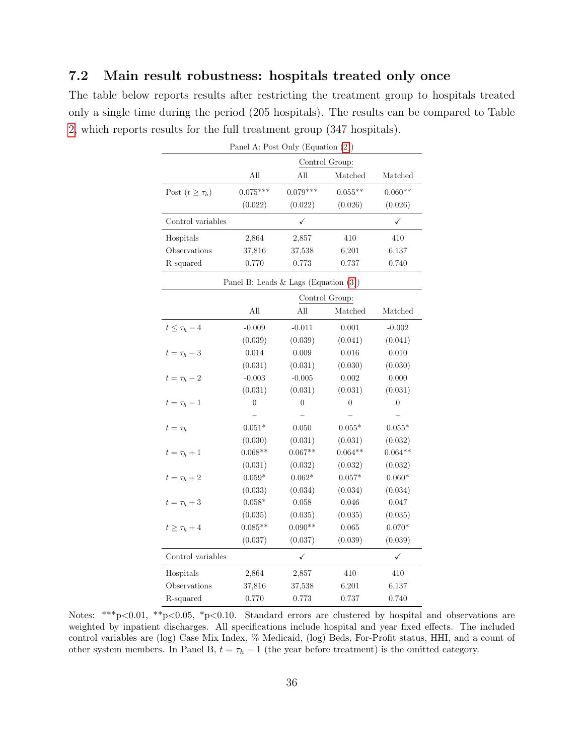## <span id="page-36-0"></span>7.2 Main result robustness: hospitals treated only once

The table below reports results after restricting the treatment group to hospitals treated only a single time during the period (205 hospitals). The results can be compared to Table [2,](#page-18-0) which reports results for the full treatment group (347 hospitals).

| Panel A: Post Only (Equation (2))       |                |                |                  |                |  |  |  |  |  |
|-----------------------------------------|----------------|----------------|------------------|----------------|--|--|--|--|--|
|                                         | Control Group: |                |                  |                |  |  |  |  |  |
|                                         | All            | All            | Matched          | Matched        |  |  |  |  |  |
| Post $(t \geq \tau_h)$                  | $0.075***$     | $0.079***$     | $0.055**$        | $0.060**$      |  |  |  |  |  |
|                                         | (0.022)        | (0.022)        | (0.026)          | (0.026)        |  |  |  |  |  |
| Control variables                       |                | $\checkmark$   |                  | $\checkmark$   |  |  |  |  |  |
| Hospitals                               | 2,864          | 2,857          | 410              | 410            |  |  |  |  |  |
| Observations                            | 37,816         | 37,538         | 6,201            | 6,137          |  |  |  |  |  |
| R-squared                               | 0.770          | 0.773          | 0.737            | 0.740          |  |  |  |  |  |
| Panel B: Leads & Lags (Equation $(3)$ ) |                |                |                  |                |  |  |  |  |  |
|                                         |                |                | Control Group:   |                |  |  |  |  |  |
|                                         | All            | All            | Matched          | Matched        |  |  |  |  |  |
| $t \leq \tau_h - 4$                     | $-0.009$       | $-0.011$       | 0.001            | $-0.002$       |  |  |  |  |  |
|                                         | (0.039)        | (0.039)        | (0.041)          | (0.041)        |  |  |  |  |  |
| $t=\tau_h-3$                            | 0.014          | 0.009          | 0.016            | 0.010          |  |  |  |  |  |
|                                         | (0.031)        | (0.031)        | (0.030)          | (0.030)        |  |  |  |  |  |
| $t=\tau_h-2$                            | $-0.003$       | $-0.005$       | $0.002\,$        | $0.000\,$      |  |  |  |  |  |
|                                         | (0.031)        | (0.031)        | (0.031)          | (0.031)        |  |  |  |  |  |
| $t=\tau_h-1$                            | $\overline{0}$ | $\overline{0}$ | $\boldsymbol{0}$ | $\overline{0}$ |  |  |  |  |  |
|                                         |                |                |                  |                |  |  |  |  |  |
| $t=\tau_h$                              | $0.051*$       | 0.050          | $0.055*$         | $0.055^{\ast}$ |  |  |  |  |  |
|                                         | (0.030)        | (0.031)        | (0.031)          | (0.032)        |  |  |  |  |  |
| $t=\tau_h+1$                            | $0.068**$      | $0.067**$      | $0.064**$        | $0.064**$      |  |  |  |  |  |
|                                         | (0.031)        | (0.032)        | (0.032)          | (0.032)        |  |  |  |  |  |
| $t=\tau_h+2$                            | $0.059^{\ast}$ | $0.062*$       | $0.057*$         | $0.060*$       |  |  |  |  |  |
|                                         | (0.033)        | (0.034)        | (0.034)          | (0.034)        |  |  |  |  |  |
| $t=\tau_h+3$                            | $0.058^{\ast}$ | 0.058          | 0.046            | 0.047          |  |  |  |  |  |
|                                         | (0.035)        | (0.035)        | (0.035)          | (0.035)        |  |  |  |  |  |
| $t \geq \tau_h + 4$                     | $0.085**$      | $0.090**$      | $\,0.065\,$      | $0.070*$       |  |  |  |  |  |
|                                         | (0.037)        | (0.037)        | (0.039)          | (0.039)        |  |  |  |  |  |
| Control variables                       |                | ✓              |                  | ✓              |  |  |  |  |  |
| Hospitals                               | 2,864          | 2,857          | 410              | 410            |  |  |  |  |  |
| Observations                            | 37,816         | 37,538         | 6,201            | 6,137          |  |  |  |  |  |
| R-squared                               | 0.770          | 0.773          | 0.737            | 0.740          |  |  |  |  |  |

| Panel A: Post Only (Equation (2)) |  |  |
|-----------------------------------|--|--|
|-----------------------------------|--|--|

Notes: \*\*\*p<0.01, \*\*p<0.05, \*p<0.10. Standard errors are clustered by hospital and observations are weighted by inpatient discharges. All specifications include hospital and year fixed effects. The included control variables are (log) Case Mix Index, % Medicaid, (log) Beds, For-Profit status, HHI, and a count of other system members. In Panel B,  $t = \tau_h - 1$  (the year before treatment) is the omitted category.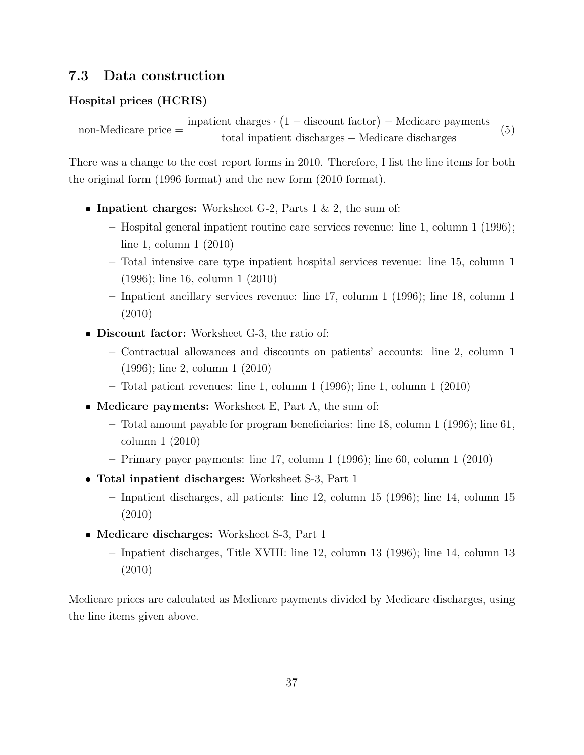### <span id="page-37-0"></span>7.3 Data construction

#### Hospital prices (HCRIS)

non-Medicare price = inpatient charges  $\cdot (1 -$  discount factor) – Medicare payments  $\frac{1}{\text{total inpatient discharges} - \text{Medicare discharges}}$  (5)

There was a change to the cost report forms in 2010. Therefore, I list the line items for both the original form (1996 format) and the new form (2010 format).

- Inpatient charges: Worksheet G-2, Parts  $1 \& 2$ , the sum of:
	- Hospital general inpatient routine care services revenue: line 1, column 1 (1996); line 1, column 1 (2010)
	- Total intensive care type inpatient hospital services revenue: line 15, column 1 (1996); line 16, column 1 (2010)
	- Inpatient ancillary services revenue: line 17, column 1 (1996); line 18, column 1 (2010)
- **Discount factor:** Worksheet G-3, the ratio of:
	- Contractual allowances and discounts on patients' accounts: line 2, column 1 (1996); line 2, column 1 (2010)
	- Total patient revenues: line 1, column 1 (1996); line 1, column 1 (2010)
- Medicare payments: Worksheet E, Part A, the sum of:
	- Total amount payable for program beneficiaries: line 18, column 1 (1996); line 61, column 1 (2010)
	- Primary payer payments: line 17, column 1 (1996); line 60, column 1 (2010)
- Total inpatient discharges: Worksheet S-3, Part 1
	- Inpatient discharges, all patients: line 12, column 15 (1996); line 14, column 15 (2010)
- Medicare discharges: Worksheet S-3, Part 1
	- Inpatient discharges, Title XVIII: line 12, column 13 (1996); line 14, column 13 (2010)

Medicare prices are calculated as Medicare payments divided by Medicare discharges, using the line items given above.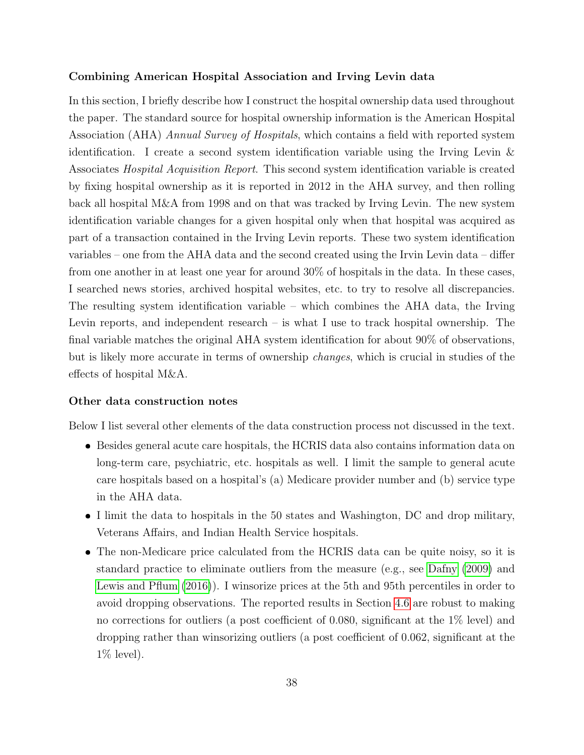#### Combining American Hospital Association and Irving Levin data

In this section, I briefly describe how I construct the hospital ownership data used throughout the paper. The standard source for hospital ownership information is the American Hospital Association (AHA) Annual Survey of Hospitals, which contains a field with reported system identification. I create a second system identification variable using the Irving Levin & Associates Hospital Acquisition Report. This second system identification variable is created by fixing hospital ownership as it is reported in 2012 in the AHA survey, and then rolling back all hospital M&A from 1998 and on that was tracked by Irving Levin. The new system identification variable changes for a given hospital only when that hospital was acquired as part of a transaction contained in the Irving Levin reports. These two system identification variables – one from the AHA data and the second created using the Irvin Levin data – differ from one another in at least one year for around 30% of hospitals in the data. In these cases, I searched news stories, archived hospital websites, etc. to try to resolve all discrepancies. The resulting system identification variable – which combines the AHA data, the Irving Levin reports, and independent research – is what I use to track hospital ownership. The final variable matches the original AHA system identification for about 90% of observations, but is likely more accurate in terms of ownership changes, which is crucial in studies of the effects of hospital M&A.

#### Other data construction notes

Below I list several other elements of the data construction process not discussed in the text.

- Besides general acute care hospitals, the HCRIS data also contains information data on long-term care, psychiatric, etc. hospitals as well. I limit the sample to general acute care hospitals based on a hospital's (a) Medicare provider number and (b) service type in the AHA data.
- I limit the data to hospitals in the 50 states and Washington, DC and drop military, Veterans Affairs, and Indian Health Service hospitals.
- The non-Medicare price calculated from the HCRIS data can be quite noisy, so it is standard practice to eliminate outliers from the measure (e.g., see [Dafny](#page-29-1) [\(2009\)](#page-29-1) and [Lewis and Pflum](#page-30-1) [\(2016\)](#page-30-1)). I winsorize prices at the 5th and 95th percentiles in order to avoid dropping observations. The reported results in Section [4.6](#page-17-1) are robust to making no corrections for outliers (a post coefficient of 0.080, significant at the 1% level) and dropping rather than winsorizing outliers (a post coefficient of 0.062, significant at the  $1\%$  level).